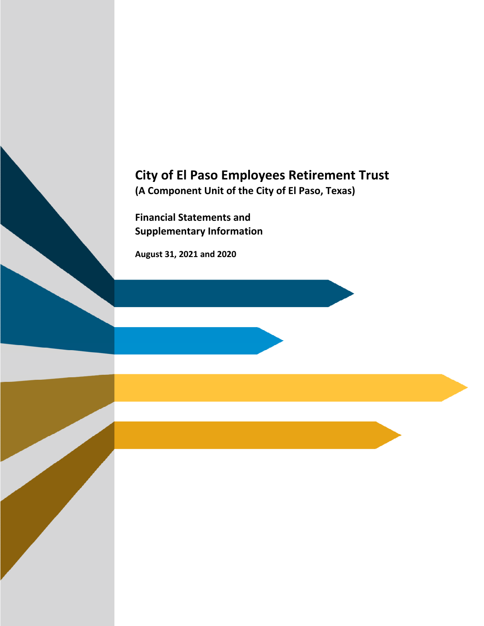# **City of El Paso Employees Retirement Trust (A Component Unit of the City of El Paso, Texas)**

**Financial Statements and Supplementary Information**

**August 31, 2021 and 2020**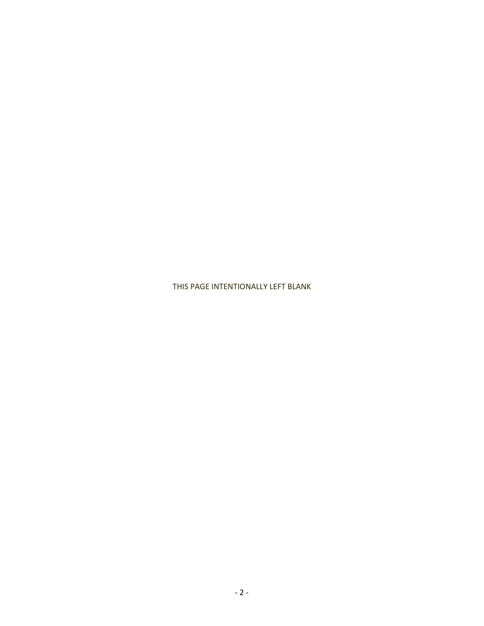THIS PAGE INTENTIONALLY LEFT BLANK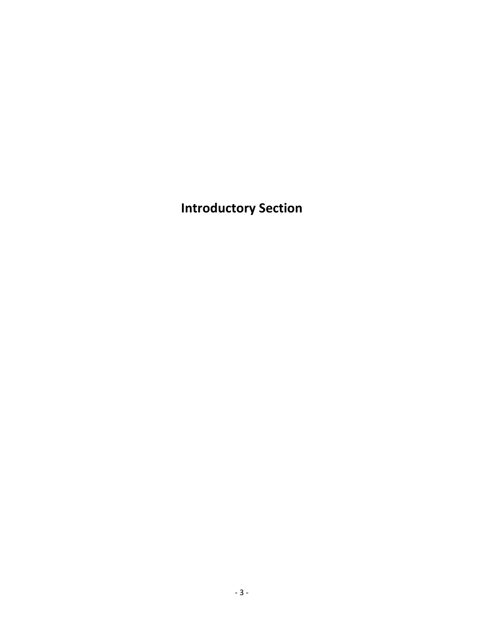**Introductory Section**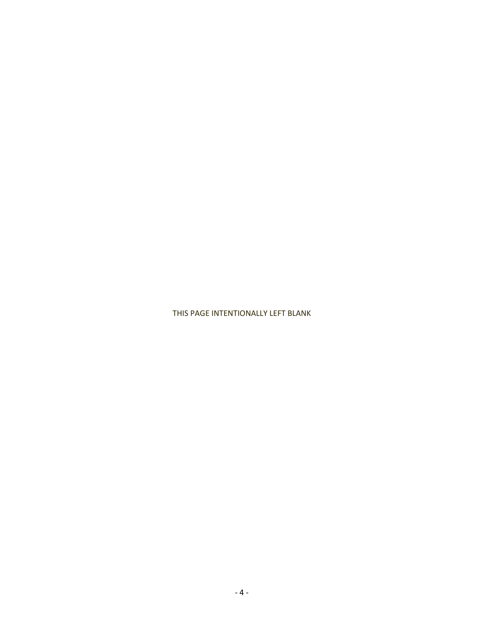THIS PAGE INTENTIONALLY LEFT BLANK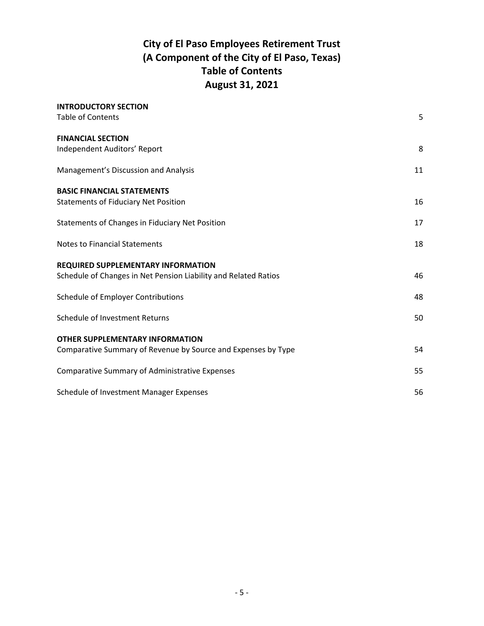# **City of El Paso Employees Retirement Trust (A Component of the City of El Paso, Texas) Table of Contents August 31, 2021**

| <b>INTRODUCTORY SECTION</b>                                     |    |
|-----------------------------------------------------------------|----|
| <b>Table of Contents</b>                                        | 5  |
| <b>FINANCIAL SECTION</b>                                        |    |
| Independent Auditors' Report                                    | 8  |
| Management's Discussion and Analysis                            | 11 |
| <b>BASIC FINANCIAL STATEMENTS</b>                               |    |
| <b>Statements of Fiduciary Net Position</b>                     | 16 |
| Statements of Changes in Fiduciary Net Position                 | 17 |
| <b>Notes to Financial Statements</b>                            | 18 |
| <b>REQUIRED SUPPLEMENTARY INFORMATION</b>                       |    |
| Schedule of Changes in Net Pension Liability and Related Ratios | 46 |
| <b>Schedule of Employer Contributions</b>                       | 48 |
| Schedule of Investment Returns                                  | 50 |
| <b>OTHER SUPPLEMENTARY INFORMATION</b>                          |    |
| Comparative Summary of Revenue by Source and Expenses by Type   | 54 |
| <b>Comparative Summary of Administrative Expenses</b>           | 55 |
| Schedule of Investment Manager Expenses                         | 56 |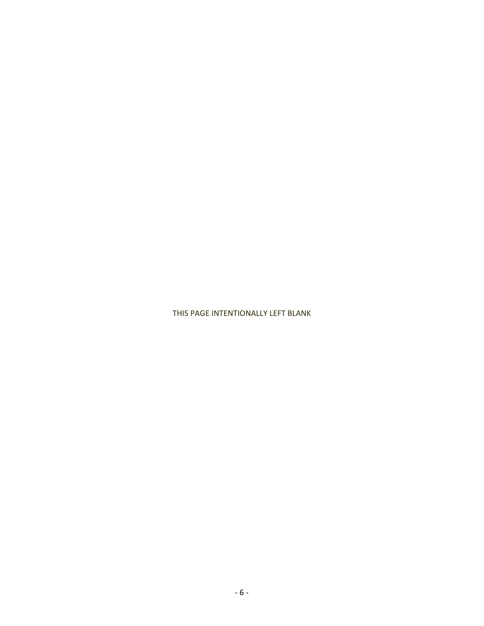THIS PAGE INTENTIONALLY LEFT BLANK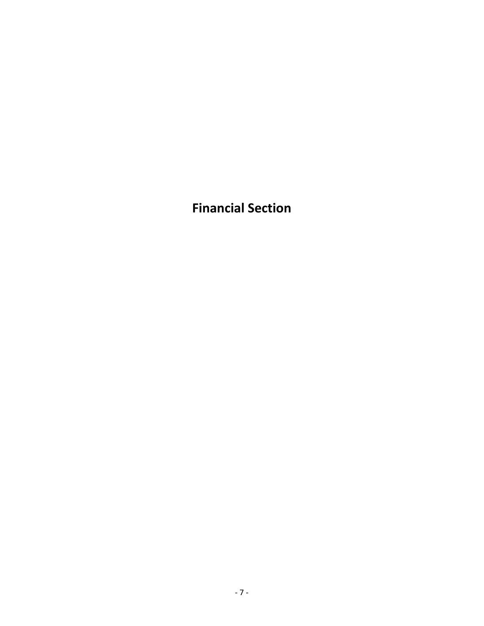**Financial Section**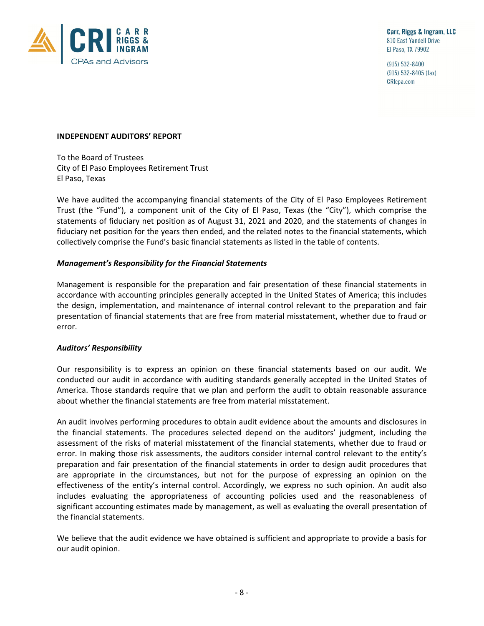

Carr, Riggs & Ingram, LLC 810 East Yandell Drive El Paso, TX 79902

 $(915) 532 - 8400$  $(915) 532 - 8405$  (fax) CRIcpa.com

#### **INDEPENDENT AUDITORS' REPORT**

To the Board of Trustees City of El Paso Employees Retirement Trust El Paso, Texas

We have audited the accompanying financial statements of the City of El Paso Employees Retirement Trust (the "Fund"), a component unit of the City of El Paso, Texas (the "City"), which comprise the statements of fiduciary net position as of August 31, 2021 and 2020, and the statements of changes in fiduciary net position for the years then ended, and the related notes to the financial statements, which collectively comprise the Fund's basic financial statements as listed in the table of contents.

#### *Management's Responsibility for the Financial Statements*

Management is responsible for the preparation and fair presentation of these financial statements in accordance with accounting principles generally accepted in the United States of America; this includes the design, implementation, and maintenance of internal control relevant to the preparation and fair presentation of financial statements that are free from material misstatement, whether due to fraud or error.

#### *Auditors' Responsibility*

Our responsibility is to express an opinion on these financial statements based on our audit. We conducted our audit in accordance with auditing standards generally accepted in the United States of America. Those standards require that we plan and perform the audit to obtain reasonable assurance about whether the financial statements are free from material misstatement.

An audit involves performing procedures to obtain audit evidence about the amounts and disclosures in the financial statements. The procedures selected depend on the auditors' judgment, including the assessment of the risks of material misstatement of the financial statements, whether due to fraud or error. In making those risk assessments, the auditors consider internal control relevant to the entity's preparation and fair presentation of the financial statements in order to design audit procedures that are appropriate in the circumstances, but not for the purpose of expressing an opinion on the effectiveness of the entity's internal control. Accordingly, we express no such opinion. An audit also includes evaluating the appropriateness of accounting policies used and the reasonableness of significant accounting estimates made by management, as well as evaluating the overall presentation of the financial statements.

We believe that the audit evidence we have obtained is sufficient and appropriate to provide a basis for our audit opinion.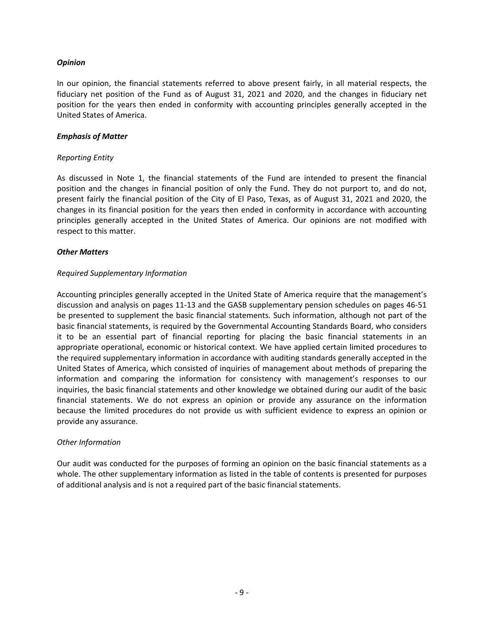### *Opinion*

In our opinion, the financial statements referred to above present fairly, in all material respects, the fiduciary net position of the Fund as of August 31, 2021 and 2020, and the changes in fiduciary net position for the years then ended in conformity with accounting principles generally accepted in the United States of America.

### *Emphasis of Matter*

### *Reporting Entity*

As discussed in Note 1, the financial statements of the Fund are intended to present the financial position and the changes in financial position of only the Fund. They do not purport to, and do not, present fairly the financial position of the City of El Paso, Texas, as of August 31, 2021 and 2020, the changes in its financial position for the years then ended in conformity in accordance with accounting principles generally accepted in the United States of America. Our opinions are not modified with respect to this matter.

### *Other Matters*

### *Required Supplementary Information*

Accounting principles generally accepted in the United State of America require that the management's discussion and analysis on pages 11‐13 and the GASB supplementary pension schedules on pages 46‐51 be presented to supplement the basic financial statements. Such information, although not part of the basic financial statements, is required by the Governmental Accounting Standards Board, who considers it to be an essential part of financial reporting for placing the basic financial statements in an appropriate operational, economic or historical context. We have applied certain limited procedures to the required supplementary information in accordance with auditing standards generally accepted in the United States of America, which consisted of inquiries of management about methods of preparing the information and comparing the information for consistency with management's responses to our inquiries, the basic financial statements and other knowledge we obtained during our audit of the basic financial statements. We do not express an opinion or provide any assurance on the information because the limited procedures do not provide us with sufficient evidence to express an opinion or provide any assurance.

### *Other Information*

Our audit was conducted for the purposes of forming an opinion on the basic financial statements as a whole. The other supplementary information as listed in the table of contents is presented for purposes of additional analysis and is not a required part of the basic financial statements.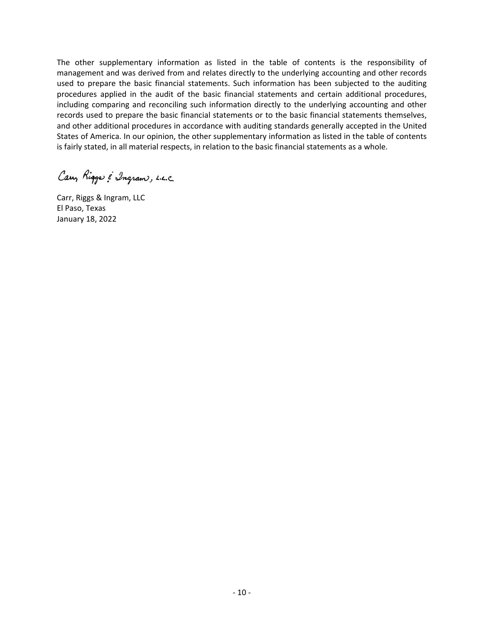The other supplementary information as listed in the table of contents is the responsibility of management and was derived from and relates directly to the underlying accounting and other records used to prepare the basic financial statements. Such information has been subjected to the auditing procedures applied in the audit of the basic financial statements and certain additional procedures, including comparing and reconciling such information directly to the underlying accounting and other records used to prepare the basic financial statements or to the basic financial statements themselves, and other additional procedures in accordance with auditing standards generally accepted in the United States of America. In our opinion, the other supplementary information as listed in the table of contents is fairly stated, in all material respects, in relation to the basic financial statements as a whole.

Cary Rigge & Ingram, L.L.C.

Carr, Riggs & Ingram, LLC El Paso, Texas January 18, 2022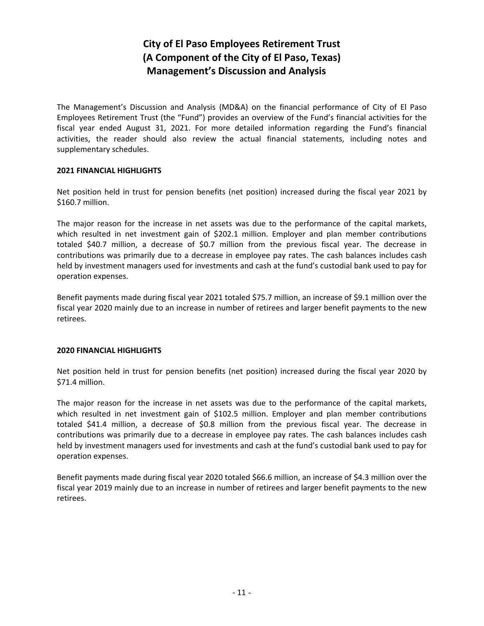## **City of El Paso Employees Retirement Trust (A Component of the City of El Paso, Texas) Management's Discussion and Analysis**

The Management's Discussion and Analysis (MD&A) on the financial performance of City of El Paso Employees Retirement Trust (the "Fund") provides an overview of the Fund's financial activities for the fiscal year ended August 31, 2021. For more detailed information regarding the Fund's financial activities, the reader should also review the actual financial statements, including notes and supplementary schedules.

### **2021 FINANCIAL HIGHLIGHTS**

Net position held in trust for pension benefits (net position) increased during the fiscal year 2021 by \$160.7 million.

The major reason for the increase in net assets was due to the performance of the capital markets, which resulted in net investment gain of \$202.1 million. Employer and plan member contributions totaled \$40.7 million, a decrease of \$0.7 million from the previous fiscal year. The decrease in contributions was primarily due to a decrease in employee pay rates. The cash balances includes cash held by investment managers used for investments and cash at the fund's custodial bank used to pay for operation expenses.

Benefit payments made during fiscal year 2021 totaled \$75.7 million, an increase of \$9.1 million over the fiscal year 2020 mainly due to an increase in number of retirees and larger benefit payments to the new retirees.

### **2020 FINANCIAL HIGHLIGHTS**

Net position held in trust for pension benefits (net position) increased during the fiscal year 2020 by \$71.4 million.

The major reason for the increase in net assets was due to the performance of the capital markets, which resulted in net investment gain of \$102.5 million. Employer and plan member contributions totaled \$41.4 million, a decrease of \$0.8 million from the previous fiscal year. The decrease in contributions was primarily due to a decrease in employee pay rates. The cash balances includes cash held by investment managers used for investments and cash at the fund's custodial bank used to pay for operation expenses.

Benefit payments made during fiscal year 2020 totaled \$66.6 million, an increase of \$4.3 million over the fiscal year 2019 mainly due to an increase in number of retirees and larger benefit payments to the new retirees.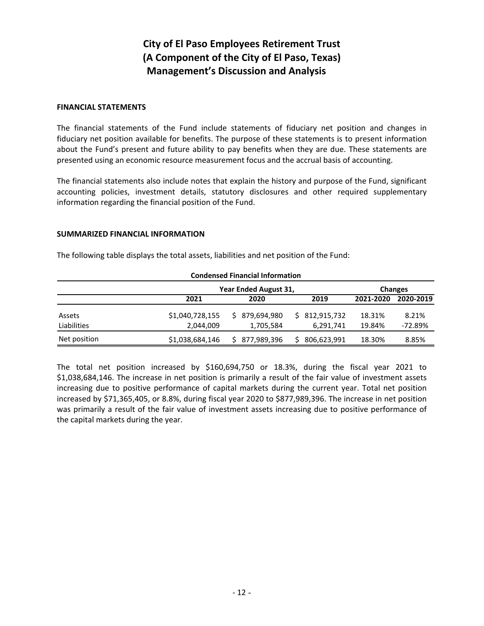## **City of El Paso Employees Retirement Trust (A Component of the City of El Paso, Texas) Management's Discussion and Analysis**

#### **FINANCIAL STATEMENTS**

The financial statements of the Fund include statements of fiduciary net position and changes in fiduciary net position available for benefits. The purpose of these statements is to present information about the Fund's present and future ability to pay benefits when they are due. These statements are presented using an economic resource measurement focus and the accrual basis of accounting.

The financial statements also include notes that explain the history and purpose of the Fund, significant accounting policies, investment details, statutory disclosures and other required supplementary information regarding the financial position of the Fund.

#### **SUMMARIZED FINANCIAL INFORMATION**

| <b>Condensed Financial Information</b> |                       |                |                   |           |           |  |  |  |  |  |
|----------------------------------------|-----------------------|----------------|-------------------|-----------|-----------|--|--|--|--|--|
|                                        | Year Ended August 31, | <b>Changes</b> |                   |           |           |  |  |  |  |  |
|                                        | 2021                  | 2020           | 2019              | 2021-2020 | 2020-2019 |  |  |  |  |  |
| Assets                                 | \$1,040,728,155       | 879,694,980    | 812,915,732<br>S. | 18.31%    | 8.21%     |  |  |  |  |  |
| Liabilities                            | 2,044,009             | 1,705,584      | 6,291,741         | 19.84%    | $-72.89%$ |  |  |  |  |  |
| Net position                           | \$1,038,684,146       | 877,989,396    | 806,623,991       | 18.30%    | 8.85%     |  |  |  |  |  |

The following table displays the total assets, liabilities and net position of the Fund:

The total net position increased by \$160,694,750 or 18.3%, during the fiscal year 2021 to \$1,038,684,146. The increase in net position is primarily a result of the fair value of investment assets increasing due to positive performance of capital markets during the current year. Total net position increased by \$71,365,405, or 8.8%, during fiscal year 2020 to \$877,989,396. The increase in net position was primarily a result of the fair value of investment assets increasing due to positive performance of the capital markets during the year.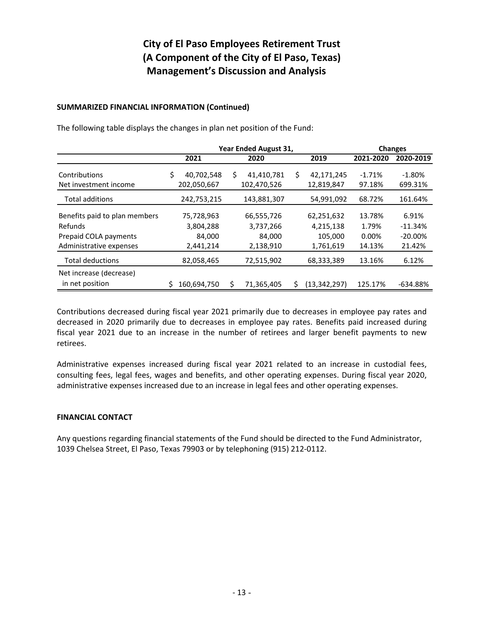## **City of El Paso Employees Retirement Trust (A Component of the City of El Paso, Texas) Management's Discussion and Analysis**

### **SUMMARIZED FINANCIAL INFORMATION (Continued)**

|                                                  | Year Ended August 31,          | <b>Changes</b>                 |                                |                    |                      |
|--------------------------------------------------|--------------------------------|--------------------------------|--------------------------------|--------------------|----------------------|
|                                                  | 2021                           | 2020                           | 2019                           | 2021-2020          | 2020-2019            |
| Contributions<br>Net investment income           | Ś<br>40,702,548<br>202,050,667 | 41,410,781<br>Ś<br>102,470,526 | \$<br>42,171,245<br>12,819,847 | $-1.71%$<br>97.18% | $-1.80\%$<br>699.31% |
| <b>Total additions</b>                           | 242,753,215                    | 143,881,307                    | 54,991,092                     | 68.72%             | 161.64%              |
| Benefits paid to plan members<br>Refunds         | 75,728,963<br>3,804,288        | 66,555,726<br>3,737,266        | 62,251,632<br>4,215,138        | 13.78%<br>1.79%    | 6.91%<br>$-11.34%$   |
| Prepaid COLA payments<br>Administrative expenses | 84,000<br>2,441,214            | 84,000<br>2,138,910            | 105,000<br>1,761,619           | 0.00%<br>14.13%    | $-20.00\%$<br>21.42% |
| <b>Total deductions</b>                          | 82,058,465                     | 72,515,902                     | 68,333,389                     | 13.16%             | 6.12%                |
| Net increase (decrease)<br>in net position       | 160,694,750                    | 71,365,405                     | (13,342,297)<br>S              | 125.17%            | $-634.88%$           |

The following table displays the changes in plan net position of the Fund:

Contributions decreased during fiscal year 2021 primarily due to decreases in employee pay rates and decreased in 2020 primarily due to decreases in employee pay rates. Benefits paid increased during fiscal year 2021 due to an increase in the number of retirees and larger benefit payments to new retirees.

Administrative expenses increased during fiscal year 2021 related to an increase in custodial fees, consulting fees, legal fees, wages and benefits, and other operating expenses. During fiscal year 2020, administrative expenses increased due to an increase in legal fees and other operating expenses.

### **FINANCIAL CONTACT**

Any questions regarding financial statements of the Fund should be directed to the Fund Administrator, 1039 Chelsea Street, El Paso, Texas 79903 or by telephoning (915) 212‐0112.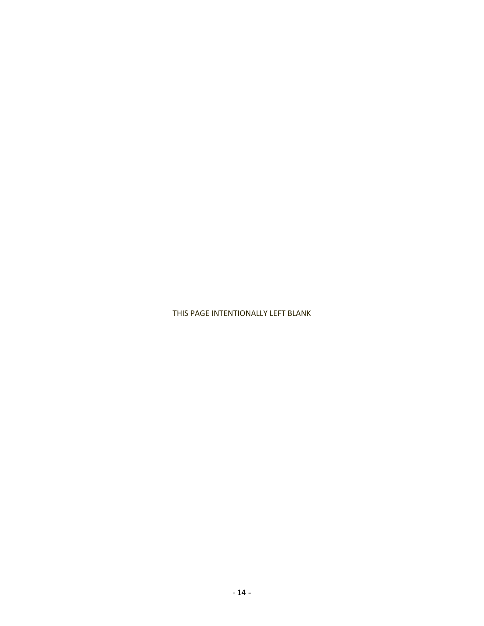THIS PAGE INTENTIONALLY LEFT BLANK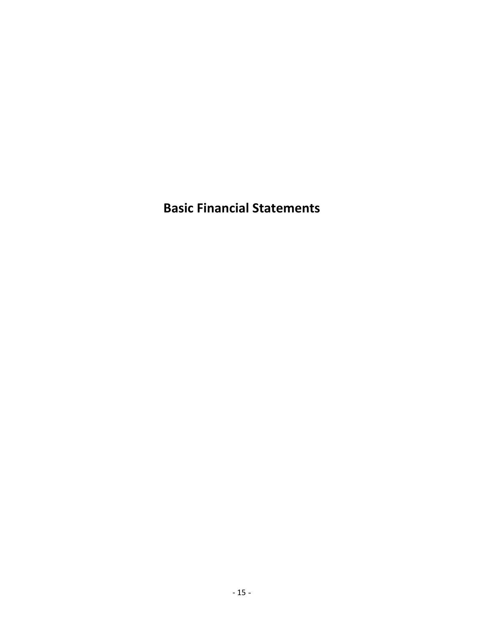**Basic Financial Statements**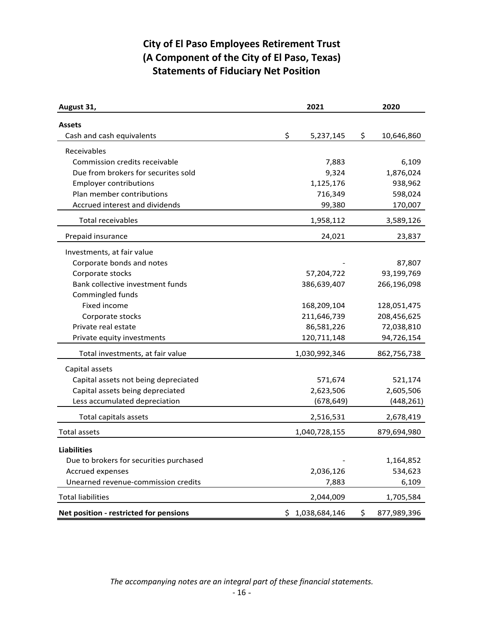## **City of El Paso Employees Retirement Trust (A Component of the City of El Paso, Texas) Statements of Fiduciary Net Position**

| August 31,                                                               | 2021                 | 2020                 |
|--------------------------------------------------------------------------|----------------------|----------------------|
| <b>Assets</b>                                                            |                      |                      |
| Cash and cash equivalents                                                | \$<br>5,237,145      | \$<br>10,646,860     |
| Receivables                                                              |                      |                      |
| Commission credits receivable                                            | 7,883                | 6,109                |
| Due from brokers for securites sold                                      | 9,324                | 1,876,024            |
| <b>Employer contributions</b>                                            | 1,125,176            | 938,962              |
| Plan member contributions                                                | 716,349              | 598,024              |
| Accrued interest and dividends                                           | 99,380               | 170,007              |
| <b>Total receivables</b>                                                 | 1,958,112            | 3,589,126            |
| Prepaid insurance                                                        | 24,021               | 23,837               |
| Investments, at fair value                                               |                      |                      |
| Corporate bonds and notes                                                |                      | 87,807               |
| Corporate stocks                                                         | 57,204,722           | 93,199,769           |
| Bank collective investment funds                                         | 386,639,407          | 266,196,098          |
| Commingled funds                                                         |                      |                      |
| Fixed income                                                             | 168,209,104          | 128,051,475          |
| Corporate stocks                                                         | 211,646,739          | 208,456,625          |
| Private real estate                                                      | 86,581,226           | 72,038,810           |
| Private equity investments                                               | 120,711,148          | 94,726,154           |
| Total investments, at fair value                                         | 1,030,992,346        | 862,756,738          |
|                                                                          |                      |                      |
| Capital assets                                                           |                      |                      |
| Capital assets not being depreciated<br>Capital assets being depreciated | 571,674<br>2,623,506 | 521,174<br>2,605,506 |
| Less accumulated depreciation                                            | (678, 649)           | (448, 261)           |
|                                                                          |                      |                      |
| Total capitals assets                                                    | 2,516,531            | 2,678,419            |
| Total assets                                                             | 1,040,728,155        | 879,694,980          |
| <b>Liabilities</b>                                                       |                      |                      |
| Due to brokers for securities purchased                                  |                      | 1,164,852            |
| Accrued expenses                                                         | 2,036,126            | 534,623              |
| Unearned revenue-commission credits                                      | 7,883                | 6,109                |
| <b>Total liabilities</b>                                                 | 2,044,009            | 1,705,584            |
| Net position - restricted for pensions                                   | \$<br>1,038,684,146  | \$<br>877,989,396    |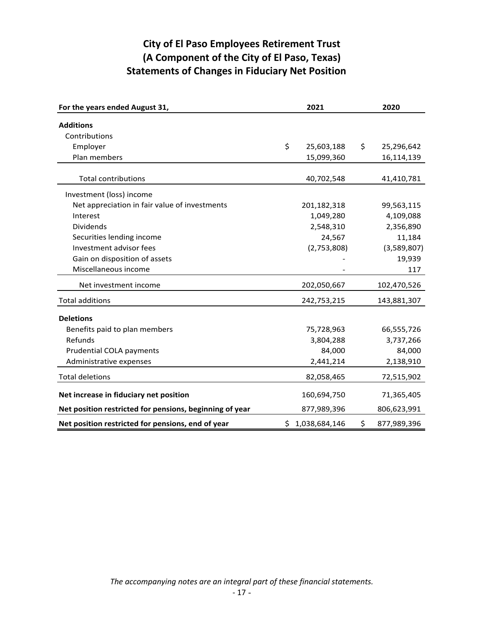## **City of El Paso Employees Retirement Trust (A Component of the City of El Paso, Texas) Statements of Changes in Fiduciary Net Position**

| For the years ended August 31,                          | 2021             | 2020              |
|---------------------------------------------------------|------------------|-------------------|
| <b>Additions</b>                                        |                  |                   |
| Contributions                                           |                  |                   |
| Employer                                                | \$<br>25,603,188 | \$<br>25,296,642  |
| Plan members                                            | 15,099,360       | 16,114,139        |
| <b>Total contributions</b>                              | 40,702,548       | 41,410,781        |
| Investment (loss) income                                |                  |                   |
| Net appreciation in fair value of investments           | 201,182,318      | 99,563,115        |
| Interest                                                | 1,049,280        | 4,109,088         |
| Dividends                                               | 2,548,310        | 2,356,890         |
| Securities lending income                               | 24,567           | 11,184            |
| Investment advisor fees                                 | (2,753,808)      | (3,589,807)       |
| Gain on disposition of assets                           |                  | 19,939            |
| Miscellaneous income                                    |                  | 117               |
| Net investment income                                   | 202,050,667      | 102,470,526       |
| <b>Total additions</b>                                  | 242,753,215      | 143,881,307       |
| <b>Deletions</b>                                        |                  |                   |
| Benefits paid to plan members                           | 75,728,963       | 66,555,726        |
| Refunds                                                 | 3,804,288        | 3,737,266         |
| Prudential COLA payments                                | 84,000           | 84,000            |
| Administrative expenses                                 | 2,441,214        | 2,138,910         |
| <b>Total deletions</b>                                  | 82,058,465       | 72,515,902        |
| Net increase in fiduciary net position                  | 160,694,750      | 71,365,405        |
| Net position restricted for pensions, beginning of year | 877,989,396      | 806,623,991       |
| Net position restricted for pensions, end of year       | \$1,038,684,146  | \$<br>877,989,396 |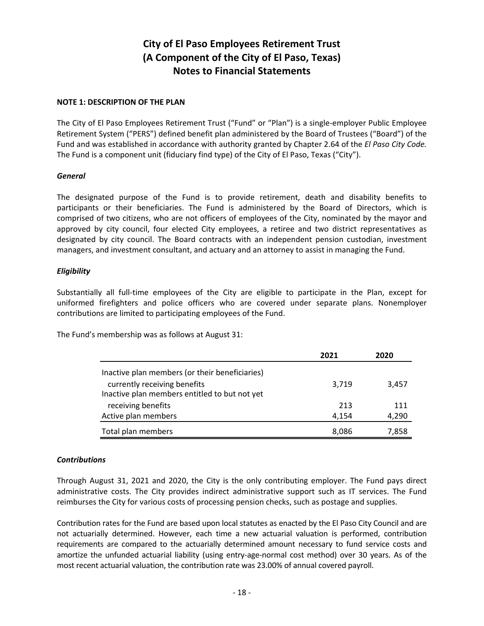#### **NOTE 1: DESCRIPTION OF THE PLAN**

The City of El Paso Employees Retirement Trust ("Fund" or "Plan") is a single‐employer Public Employee Retirement System ("PERS") defined benefit plan administered by the Board of Trustees ("Board") of the Fund and was established in accordance with authority granted by Chapter 2.64 of the *El Paso City Code.* The Fund is a component unit (fiduciary find type) of the City of El Paso, Texas ("City").

#### *General*

The designated purpose of the Fund is to provide retirement, death and disability benefits to participants or their beneficiaries. The Fund is administered by the Board of Directors, which is comprised of two citizens, who are not officers of employees of the City, nominated by the mayor and approved by city council, four elected City employees, a retiree and two district representatives as designated by city council. The Board contracts with an independent pension custodian, investment managers, and investment consultant, and actuary and an attorney to assist in managing the Fund.

### *Eligibility*

Substantially all full-time employees of the City are eligible to participate in the Plan, except for uniformed firefighters and police officers who are covered under separate plans. Nonemployer contributions are limited to participating employees of the Fund.

The Fund's membership was as follows at August 31:

|                                                | 2021  | 2020  |
|------------------------------------------------|-------|-------|
| Inactive plan members (or their beneficiaries) |       |       |
| currently receiving benefits                   | 3,719 | 3,457 |
| Inactive plan members entitled to but not yet  |       |       |
| receiving benefits                             | 213   | 111   |
| Active plan members                            | 4.154 | 4,290 |
| Total plan members                             | 8.086 | 7.858 |

### *Contributions*

Through August 31, 2021 and 2020, the City is the only contributing employer. The Fund pays direct administrative costs. The City provides indirect administrative support such as IT services. The Fund reimburses the City for various costs of processing pension checks, such as postage and supplies.

Contribution rates for the Fund are based upon local statutes as enacted by the El Paso City Council and are not actuarially determined. However, each time a new actuarial valuation is performed, contribution requirements are compared to the actuarially determined amount necessary to fund service costs and amortize the unfunded actuarial liability (using entry‐age‐normal cost method) over 30 years. As of the most recent actuarial valuation, the contribution rate was 23.00% of annual covered payroll.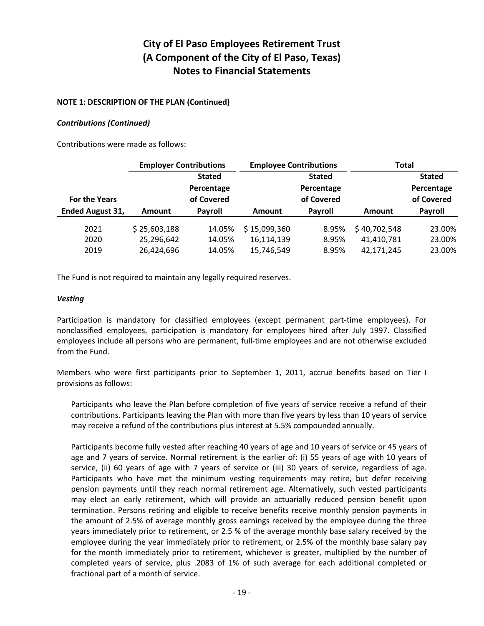### **NOTE 1: DESCRIPTION OF THE PLAN (Continued)**

### *Contributions (Continued)*

Contributions were made as follows:

|                         | <b>Employer Contributions</b> |               | <b>Employee Contributions</b> |                | <b>Total</b> |               |  |  |
|-------------------------|-------------------------------|---------------|-------------------------------|----------------|--------------|---------------|--|--|
|                         |                               | <b>Stated</b> |                               | <b>Stated</b>  |              | <b>Stated</b> |  |  |
|                         |                               | Percentage    | Percentage                    |                |              | Percentage    |  |  |
| <b>For the Years</b>    |                               | of Covered    |                               | of Covered     |              | of Covered    |  |  |
| <b>Ended August 31,</b> | <b>Amount</b>                 | Payroll       | Amount                        | <b>Payroll</b> | Amount       | Payroll       |  |  |
| 2021                    | \$25,603,188                  | 14.05%        | \$15,099,360                  | 8.95%          | \$40,702,548 | 23.00%        |  |  |
| 2020                    | 25,296,642                    | 14.05%        | 16,114,139                    | 8.95%          | 41,410,781   | 23.00%        |  |  |
| 2019                    | 26,424,696                    | 14.05%        | 15,746,549                    | 8.95%          | 42,171,245   | 23.00%        |  |  |

The Fund is not required to maintain any legally required reserves.

### *Vesting*

Participation is mandatory for classified employees (except permanent part‐time employees). For nonclassified employees, participation is mandatory for employees hired after July 1997. Classified employees include all persons who are permanent, full‐time employees and are not otherwise excluded from the Fund.

Members who were first participants prior to September 1, 2011, accrue benefits based on Tier I provisions as follows:

Participants who leave the Plan before completion of five years of service receive a refund of their contributions. Participants leaving the Plan with more than five years by less than 10 years of service may receive a refund of the contributions plus interest at 5.5% compounded annually.

Participants become fully vested after reaching 40 years of age and 10 years of service or 45 years of age and 7 years of service. Normal retirement is the earlier of: (i) 55 years of age with 10 years of service, (ii) 60 years of age with 7 years of service or (iii) 30 years of service, regardless of age. Participants who have met the minimum vesting requirements may retire, but defer receiving pension payments until they reach normal retirement age. Alternatively, such vested participants may elect an early retirement, which will provide an actuarially reduced pension benefit upon termination. Persons retiring and eligible to receive benefits receive monthly pension payments in the amount of 2.5% of average monthly gross earnings received by the employee during the three years immediately prior to retirement, or 2.5 % of the average monthly base salary received by the employee during the year immediately prior to retirement, or 2.5% of the monthly base salary pay for the month immediately prior to retirement, whichever is greater, multiplied by the number of completed years of service, plus .2083 of 1% of such average for each additional completed or fractional part of a month of service.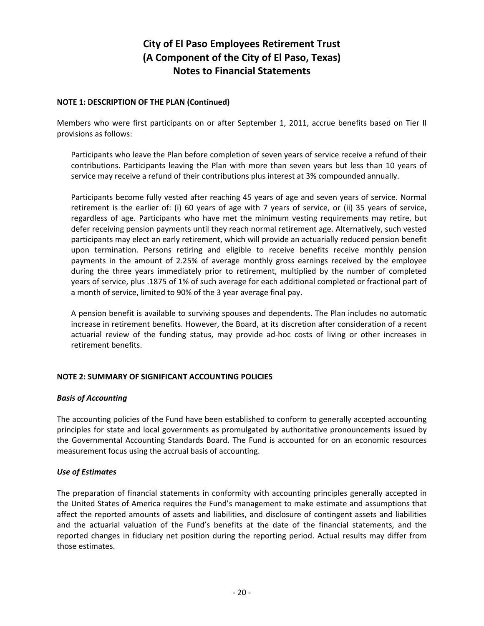### **NOTE 1: DESCRIPTION OF THE PLAN (Continued)**

Members who were first participants on or after September 1, 2011, accrue benefits based on Tier II provisions as follows:

Participants who leave the Plan before completion of seven years of service receive a refund of their contributions. Participants leaving the Plan with more than seven years but less than 10 years of service may receive a refund of their contributions plus interest at 3% compounded annually.

Participants become fully vested after reaching 45 years of age and seven years of service. Normal retirement is the earlier of: (i) 60 years of age with 7 years of service, or (ii) 35 years of service, regardless of age. Participants who have met the minimum vesting requirements may retire, but defer receiving pension payments until they reach normal retirement age. Alternatively, such vested participants may elect an early retirement, which will provide an actuarially reduced pension benefit upon termination. Persons retiring and eligible to receive benefits receive monthly pension payments in the amount of 2.25% of average monthly gross earnings received by the employee during the three years immediately prior to retirement, multiplied by the number of completed years of service, plus .1875 of 1% of such average for each additional completed or fractional part of a month of service, limited to 90% of the 3 year average final pay.

A pension benefit is available to surviving spouses and dependents. The Plan includes no automatic increase in retirement benefits. However, the Board, at its discretion after consideration of a recent actuarial review of the funding status, may provide ad‐hoc costs of living or other increases in retirement benefits.

### **NOTE 2: SUMMARY OF SIGNIFICANT ACCOUNTING POLICIES**

### *Basis of Accounting*

The accounting policies of the Fund have been established to conform to generally accepted accounting principles for state and local governments as promulgated by authoritative pronouncements issued by the Governmental Accounting Standards Board. The Fund is accounted for on an economic resources measurement focus using the accrual basis of accounting.

### *Use of Estimates*

The preparation of financial statements in conformity with accounting principles generally accepted in the United States of America requires the Fund's management to make estimate and assumptions that affect the reported amounts of assets and liabilities, and disclosure of contingent assets and liabilities and the actuarial valuation of the Fund's benefits at the date of the financial statements, and the reported changes in fiduciary net position during the reporting period. Actual results may differ from those estimates.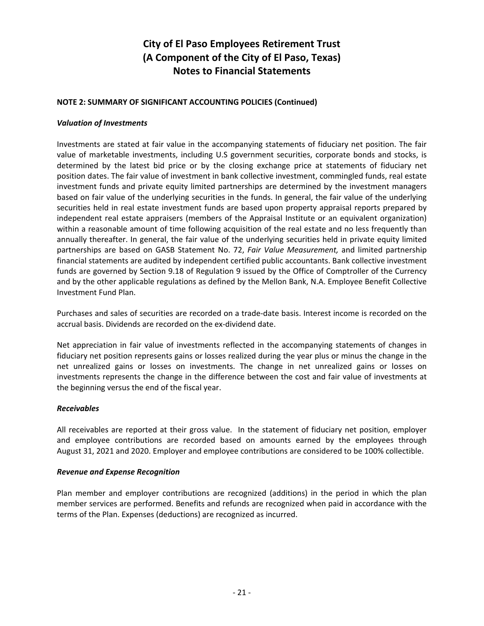### **NOTE 2: SUMMARY OF SIGNIFICANT ACCOUNTING POLICIES (Continued)**

### *Valuation of Investments*

Investments are stated at fair value in the accompanying statements of fiduciary net position. The fair value of marketable investments, including U.S government securities, corporate bonds and stocks, is determined by the latest bid price or by the closing exchange price at statements of fiduciary net position dates. The fair value of investment in bank collective investment, commingled funds, real estate investment funds and private equity limited partnerships are determined by the investment managers based on fair value of the underlying securities in the funds. In general, the fair value of the underlying securities held in real estate investment funds are based upon property appraisal reports prepared by independent real estate appraisers (members of the Appraisal Institute or an equivalent organization) within a reasonable amount of time following acquisition of the real estate and no less frequently than annually thereafter. In general, the fair value of the underlying securities held in private equity limited partnerships are based on GASB Statement No. 72, *Fair Value Measurement,* and limited partnership financial statements are audited by independent certified public accountants. Bank collective investment funds are governed by Section 9.18 of Regulation 9 issued by the Office of Comptroller of the Currency and by the other applicable regulations as defined by the Mellon Bank, N.A. Employee Benefit Collective Investment Fund Plan.

Purchases and sales of securities are recorded on a trade‐date basis. Interest income is recorded on the accrual basis. Dividends are recorded on the ex‐dividend date.

Net appreciation in fair value of investments reflected in the accompanying statements of changes in fiduciary net position represents gains or losses realized during the year plus or minus the change in the net unrealized gains or losses on investments. The change in net unrealized gains or losses on investments represents the change in the difference between the cost and fair value of investments at the beginning versus the end of the fiscal year.

### *Receivables*

All receivables are reported at their gross value. In the statement of fiduciary net position, employer and employee contributions are recorded based on amounts earned by the employees through August 31, 2021 and 2020. Employer and employee contributions are considered to be 100% collectible.

#### *Revenue and Expense Recognition*

Plan member and employer contributions are recognized (additions) in the period in which the plan member services are performed. Benefits and refunds are recognized when paid in accordance with the terms of the Plan. Expenses (deductions) are recognized as incurred.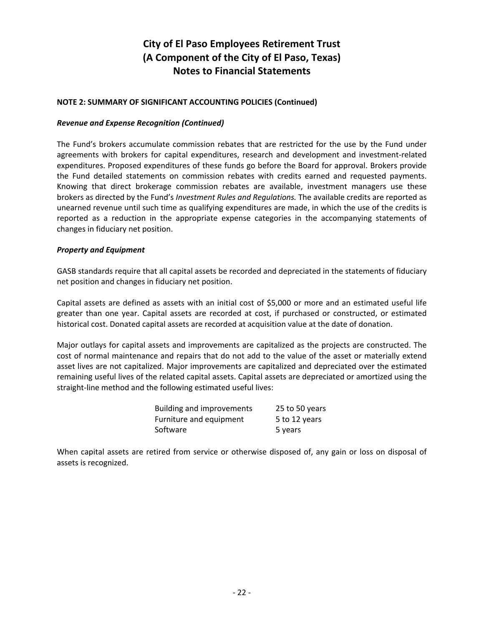### **NOTE 2: SUMMARY OF SIGNIFICANT ACCOUNTING POLICIES (Continued)**

### *Revenue and Expense Recognition (Continued)*

The Fund's brokers accumulate commission rebates that are restricted for the use by the Fund under agreements with brokers for capital expenditures, research and development and investment‐related expenditures. Proposed expenditures of these funds go before the Board for approval. Brokers provide the Fund detailed statements on commission rebates with credits earned and requested payments. Knowing that direct brokerage commission rebates are available, investment managers use these brokers as directed by the Fund's *Investment Rules and Regulations.* The available credits are reported as unearned revenue until such time as qualifying expenditures are made, in which the use of the credits is reported as a reduction in the appropriate expense categories in the accompanying statements of changes in fiduciary net position.

### *Property and Equipment*

GASB standards require that all capital assets be recorded and depreciated in the statements of fiduciary net position and changes in fiduciary net position.

Capital assets are defined as assets with an initial cost of \$5,000 or more and an estimated useful life greater than one year. Capital assets are recorded at cost, if purchased or constructed, or estimated historical cost. Donated capital assets are recorded at acquisition value at the date of donation.

Major outlays for capital assets and improvements are capitalized as the projects are constructed. The cost of normal maintenance and repairs that do not add to the value of the asset or materially extend asset lives are not capitalized. Major improvements are capitalized and depreciated over the estimated remaining useful lives of the related capital assets. Capital assets are depreciated or amortized using the straight-line method and the following estimated useful lives:

| <b>Building and improvements</b> | 25 to 50 years |
|----------------------------------|----------------|
| Furniture and equipment          | 5 to 12 years  |
| Software                         | 5 years        |

When capital assets are retired from service or otherwise disposed of, any gain or loss on disposal of assets is recognized.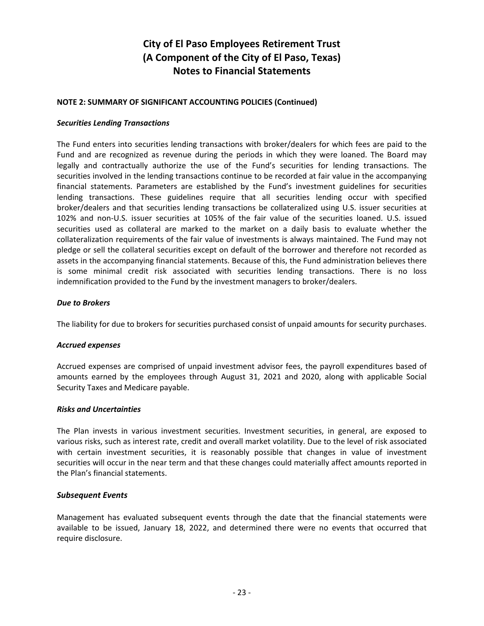### **NOTE 2: SUMMARY OF SIGNIFICANT ACCOUNTING POLICIES (Continued)**

#### *Securities Lending Transactions*

The Fund enters into securities lending transactions with broker/dealers for which fees are paid to the Fund and are recognized as revenue during the periods in which they were loaned. The Board may legally and contractually authorize the use of the Fund's securities for lending transactions. The securities involved in the lending transactions continue to be recorded at fair value in the accompanying financial statements. Parameters are established by the Fund's investment guidelines for securities lending transactions. These guidelines require that all securities lending occur with specified broker/dealers and that securities lending transactions be collateralized using U.S. issuer securities at 102% and non‐U.S. issuer securities at 105% of the fair value of the securities loaned. U.S. issued securities used as collateral are marked to the market on a daily basis to evaluate whether the collateralization requirements of the fair value of investments is always maintained. The Fund may not pledge or sell the collateral securities except on default of the borrower and therefore not recorded as assets in the accompanying financial statements. Because of this, the Fund administration believes there is some minimal credit risk associated with securities lending transactions. There is no loss indemnification provided to the Fund by the investment managers to broker/dealers.

#### *Due to Brokers*

The liability for due to brokers for securities purchased consist of unpaid amounts for security purchases.

#### *Accrued expenses*

Accrued expenses are comprised of unpaid investment advisor fees, the payroll expenditures based of amounts earned by the employees through August 31, 2021 and 2020, along with applicable Social Security Taxes and Medicare payable.

#### *Risks and Uncertainties*

The Plan invests in various investment securities. Investment securities, in general, are exposed to various risks, such as interest rate, credit and overall market volatility. Due to the level of risk associated with certain investment securities, it is reasonably possible that changes in value of investment securities will occur in the near term and that these changes could materially affect amounts reported in the Plan's financial statements.

### *Subsequent Events*

Management has evaluated subsequent events through the date that the financial statements were available to be issued, January 18, 2022, and determined there were no events that occurred that require disclosure.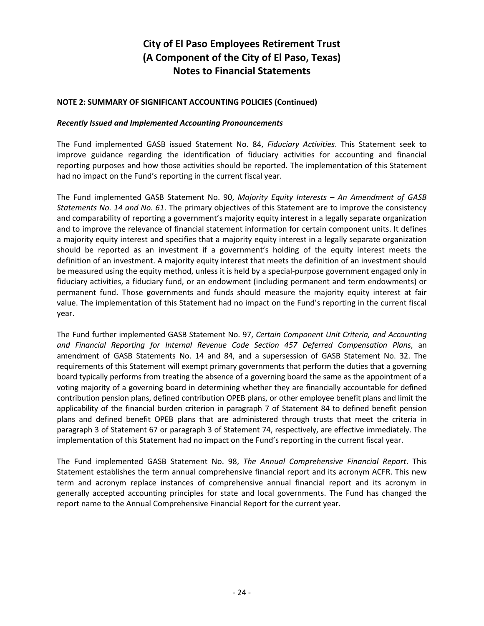### **NOTE 2: SUMMARY OF SIGNIFICANT ACCOUNTING POLICIES (Continued)**

#### *Recently Issued and Implemented Accounting Pronouncements*

The Fund implemented GASB issued Statement No. 84, *Fiduciary Activities*. This Statement seek to improve guidance regarding the identification of fiduciary activities for accounting and financial reporting purposes and how those activities should be reported. The implementation of this Statement had no impact on the Fund's reporting in the current fiscal year.

The Fund implemented GASB Statement No. 90, *Majority Equity Interests – An Amendment of GASB Statements No. 14 and No. 61*. The primary objectives of this Statement are to improve the consistency and comparability of reporting a government's majority equity interest in a legally separate organization and to improve the relevance of financial statement information for certain component units. It defines a majority equity interest and specifies that a majority equity interest in a legally separate organization should be reported as an investment if a government's holding of the equity interest meets the definition of an investment. A majority equity interest that meets the definition of an investment should be measured using the equity method, unless it is held by a special-purpose government engaged only in fiduciary activities, a fiduciary fund, or an endowment (including permanent and term endowments) or permanent fund. Those governments and funds should measure the majority equity interest at fair value. The implementation of this Statement had no impact on the Fund's reporting in the current fiscal year.

The Fund further implemented GASB Statement No. 97, *Certain Component Unit Criteria, and Accounting and Financial Reporting for Internal Revenue Code Section 457 Deferred Compensation Plans*, an amendment of GASB Statements No. 14 and 84, and a supersession of GASB Statement No. 32. The requirements of this Statement will exempt primary governments that perform the duties that a governing board typically performs from treating the absence of a governing board the same as the appointment of a voting majority of a governing board in determining whether they are financially accountable for defined contribution pension plans, defined contribution OPEB plans, or other employee benefit plans and limit the applicability of the financial burden criterion in paragraph 7 of Statement 84 to defined benefit pension plans and defined benefit OPEB plans that are administered through trusts that meet the criteria in paragraph 3 of Statement 67 or paragraph 3 of Statement 74, respectively, are effective immediately. The implementation of this Statement had no impact on the Fund's reporting in the current fiscal year.

The Fund implemented GASB Statement No. 98, *The Annual Comprehensive Financial Report*. This Statement establishes the term annual comprehensive financial report and its acronym ACFR. This new term and acronym replace instances of comprehensive annual financial report and its acronym in generally accepted accounting principles for state and local governments. The Fund has changed the report name to the Annual Comprehensive Financial Report for the current year.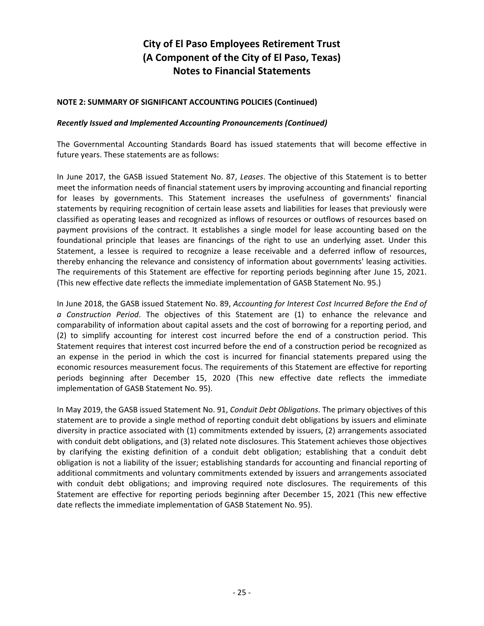### **NOTE 2: SUMMARY OF SIGNIFICANT ACCOUNTING POLICIES (Continued)**

### *Recently Issued and Implemented Accounting Pronouncements (Continued)*

The Governmental Accounting Standards Board has issued statements that will become effective in future years. These statements are as follows:

In June 2017, the GASB issued Statement No. 87, *Leases*. The objective of this Statement is to better meet the information needs of financial statement users by improving accounting and financial reporting for leases by governments. This Statement increases the usefulness of governments' financial statements by requiring recognition of certain lease assets and liabilities for leases that previously were classified as operating leases and recognized as inflows of resources or outflows of resources based on payment provisions of the contract. It establishes a single model for lease accounting based on the foundational principle that leases are financings of the right to use an underlying asset. Under this Statement, a lessee is required to recognize a lease receivable and a deferred inflow of resources, thereby enhancing the relevance and consistency of information about governments' leasing activities. The requirements of this Statement are effective for reporting periods beginning after June 15, 2021. (This new effective date reflects the immediate implementation of GASB Statement No. 95.)

In June 2018, the GASB issued Statement No. 89, *Accounting for Interest Cost Incurred Before the End of a Construction Period*. The objectives of this Statement are (1) to enhance the relevance and comparability of information about capital assets and the cost of borrowing for a reporting period, and (2) to simplify accounting for interest cost incurred before the end of a construction period. This Statement requires that interest cost incurred before the end of a construction period be recognized as an expense in the period in which the cost is incurred for financial statements prepared using the economic resources measurement focus. The requirements of this Statement are effective for reporting periods beginning after December 15, 2020 (This new effective date reflects the immediate implementation of GASB Statement No. 95).

In May 2019, the GASB issued Statement No. 91, *Conduit Debt Obligations*. The primary objectives of this statement are to provide a single method of reporting conduit debt obligations by issuers and eliminate diversity in practice associated with (1) commitments extended by issuers, (2) arrangements associated with conduit debt obligations, and (3) related note disclosures. This Statement achieves those objectives by clarifying the existing definition of a conduit debt obligation; establishing that a conduit debt obligation is not a liability of the issuer; establishing standards for accounting and financial reporting of additional commitments and voluntary commitments extended by issuers and arrangements associated with conduit debt obligations; and improving required note disclosures. The requirements of this Statement are effective for reporting periods beginning after December 15, 2021 (This new effective date reflects the immediate implementation of GASB Statement No. 95).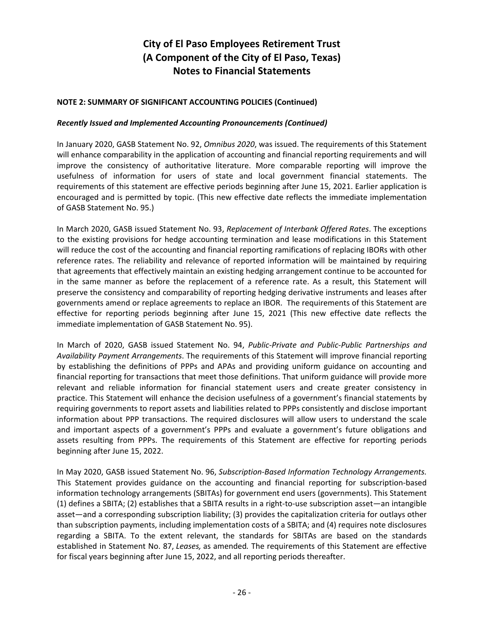### **NOTE 2: SUMMARY OF SIGNIFICANT ACCOUNTING POLICIES (Continued)**

### *Recently Issued and Implemented Accounting Pronouncements (Continued)*

In January 2020, GASB Statement No. 92, *Omnibus 2020*, was issued. The requirements of this Statement will enhance comparability in the application of accounting and financial reporting requirements and will improve the consistency of authoritative literature. More comparable reporting will improve the usefulness of information for users of state and local government financial statements. The requirements of this statement are effective periods beginning after June 15, 2021. Earlier application is encouraged and is permitted by topic. (This new effective date reflects the immediate implementation of GASB Statement No. 95.)

In March 2020, GASB issued Statement No. 93, *Replacement of Interbank Offered Rates*. The exceptions to the existing provisions for hedge accounting termination and lease modifications in this Statement will reduce the cost of the accounting and financial reporting ramifications of replacing IBORs with other reference rates. The reliability and relevance of reported information will be maintained by requiring that agreements that effectively maintain an existing hedging arrangement continue to be accounted for in the same manner as before the replacement of a reference rate. As a result, this Statement will preserve the consistency and comparability of reporting hedging derivative instruments and leases after governments amend or replace agreements to replace an IBOR. The requirements of this Statement are effective for reporting periods beginning after June 15, 2021 (This new effective date reflects the immediate implementation of GASB Statement No. 95).

In March of 2020, GASB issued Statement No. 94, *Public‐Private and Public‐Public Partnerships and Availability Payment Arrangements*. The requirements of this Statement will improve financial reporting by establishing the definitions of PPPs and APAs and providing uniform guidance on accounting and financial reporting for transactions that meet those definitions. That uniform guidance will provide more relevant and reliable information for financial statement users and create greater consistency in practice. This Statement will enhance the decision usefulness of a government's financial statements by requiring governments to report assets and liabilities related to PPPs consistently and disclose important information about PPP transactions. The required disclosures will allow users to understand the scale and important aspects of a government's PPPs and evaluate a government's future obligations and assets resulting from PPPs. The requirements of this Statement are effective for reporting periods beginning after June 15, 2022.

In May 2020, GASB issued Statement No. 96, *Subscription‐Based Information Technology Arrangements.* This Statement provides guidance on the accounting and financial reporting for subscription‐based information technology arrangements (SBITAs) for government end users (governments). This Statement (1) defines a SBITA; (2) establishes that a SBITA results in a right‐to‐use subscription asset—an intangible asset—and a corresponding subscription liability; (3) provides the capitalization criteria for outlays other than subscription payments, including implementation costs of a SBITA; and (4) requires note disclosures regarding a SBITA. To the extent relevant, the standards for SBITAs are based on the standards established in Statement No. 87, *Leases,* as amended*.* The requirements of this Statement are effective for fiscal years beginning after June 15, 2022, and all reporting periods thereafter.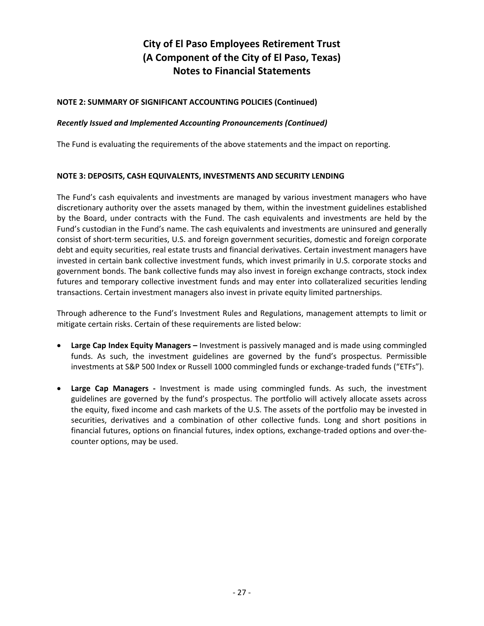### **NOTE 2: SUMMARY OF SIGNIFICANT ACCOUNTING POLICIES (Continued)**

### *Recently Issued and Implemented Accounting Pronouncements (Continued)*

The Fund is evaluating the requirements of the above statements and the impact on reporting.

#### **NOTE 3: DEPOSITS, CASH EQUIVALENTS, INVESTMENTS AND SECURITY LENDING**

The Fund's cash equivalents and investments are managed by various investment managers who have discretionary authority over the assets managed by them, within the investment guidelines established by the Board, under contracts with the Fund. The cash equivalents and investments are held by the Fund's custodian in the Fund's name. The cash equivalents and investments are uninsured and generally consist of short-term securities, U.S. and foreign government securities, domestic and foreign corporate debt and equity securities, real estate trusts and financial derivatives. Certain investment managers have invested in certain bank collective investment funds, which invest primarily in U.S. corporate stocks and government bonds. The bank collective funds may also invest in foreign exchange contracts, stock index futures and temporary collective investment funds and may enter into collateralized securities lending transactions. Certain investment managers also invest in private equity limited partnerships.

Through adherence to the Fund's Investment Rules and Regulations, management attempts to limit or mitigate certain risks. Certain of these requirements are listed below:

- **Large Cap Index Equity Managers –** Investment is passively managed and is made using commingled funds. As such, the investment guidelines are governed by the fund's prospectus. Permissible investments at S&P 500 Index or Russell 1000 commingled funds or exchange-traded funds ("ETFs").
- **Large Cap Managers ‐**  Investment is made using commingled funds. As such, the investment guidelines are governed by the fund's prospectus. The portfolio will actively allocate assets across the equity, fixed income and cash markets of the U.S. The assets of the portfolio may be invested in securities, derivatives and a combination of other collective funds. Long and short positions in financial futures, options on financial futures, index options, exchange-traded options and over-thecounter options, may be used.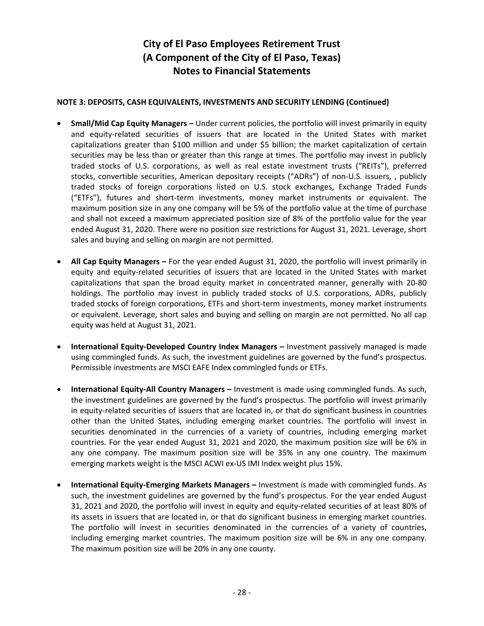### **NOTE 3: DEPOSITS, CASH EQUIVALENTS, INVESTMENTS AND SECURITY LENDING (Continued)**

- **Small/Mid Cap Equity Managers –** Under current policies, the portfolio will invest primarily in equity and equity-related securities of issuers that are located in the United States with market capitalizations greater than \$100 million and under \$5 billion; the market capitalization of certain securities may be less than or greater than this range at times. The portfolio may invest in publicly traded stocks of U.S. corporations, as well as real estate investment trusts ("REITs"), preferred stocks, convertible securities, American depositary receipts ("ADRs") of non‐U.S. issuers, , publicly traded stocks of foreign corporations listed on U.S. stock exchanges, Exchange Traded Funds ("ETFs"), futures and short‐term investments, money market instruments or equivalent. The maximum position size in any one company will be 5% of the portfolio value at the time of purchase and shall not exceed a maximum appreciated position size of 8% of the portfolio value for the year ended August 31, 2020. There were no position size restrictions for August 31, 2021. Leverage, short sales and buying and selling on margin are not permitted.
- **All Cap Equity Managers –** For the year ended August 31, 2020, the portfolio will invest primarily in equity and equity-related securities of issuers that are located in the United States with market capitalizations that span the broad equity market in concentrated manner, generally with 20‐80 holdings. The portfolio may invest in publicly traded stocks of U.S. corporations, ADRs, publicly traded stocks of foreign corporations, ETFs and short-term investments, money market instruments or equivalent. Leverage, short sales and buying and selling on margin are not permitted. No all cap equity was held at August 31, 2021.
- **International Equity‐Developed Country Index Managers –** Investment passively managed is made using commingled funds. As such, the investment guidelines are governed by the fund's prospectus. Permissible investments are MSCI EAFE Index commingled funds or ETFs.
- **International Equity‐All Country Managers –** Investment is made using commingled funds. As such, the investment guidelines are governed by the fund's prospectus. The portfolio will invest primarily in equity‐related securities of issuers that are located in, or that do significant business in countries other than the United States, including emerging market countries. The portfolio will invest in securities denominated in the currencies of a variety of countries, including emerging market countries. For the year ended August 31, 2021 and 2020, the maximum position size will be 6% in any one company. The maximum position size will be 35% in any one country. The maximum emerging markets weight is the MSCI ACWI ex‐US IMI Index weight plus 15%.
- **International Equity‐Emerging Markets Managers –** Investment is made with commingled funds. As such, the investment guidelines are governed by the fund's prospectus. For the year ended August 31, 2021 and 2020, the portfolio will invest in equity and equity-related securities of at least 80% of its assets in issuers that are located in, or that do significant business in emerging market countries. The portfolio will invest in securities denominated in the currencies of a variety of countries, including emerging market countries. The maximum position size will be 6% in any one company. The maximum position size will be 20% in any one county.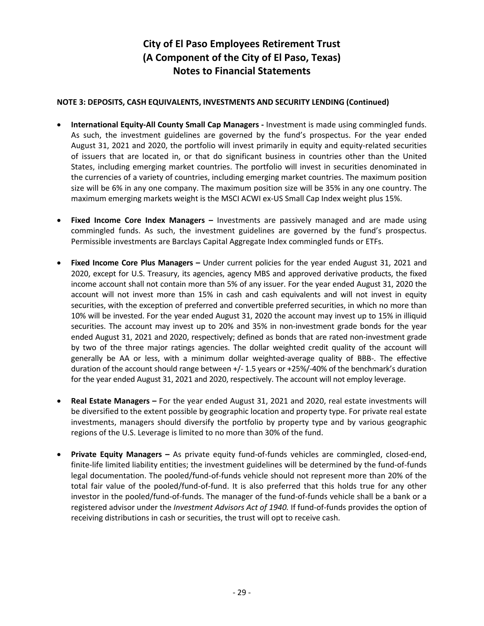### **NOTE 3: DEPOSITS, CASH EQUIVALENTS, INVESTMENTS AND SECURITY LENDING (Continued)**

- **International Equity‐All County Small Cap Managers ‐** Investment is made using commingled funds. As such, the investment guidelines are governed by the fund's prospectus. For the year ended August 31, 2021 and 2020, the portfolio will invest primarily in equity and equity‐related securities of issuers that are located in, or that do significant business in countries other than the United States, including emerging market countries. The portfolio will invest in securities denominated in the currencies of a variety of countries, including emerging market countries. The maximum position size will be 6% in any one company. The maximum position size will be 35% in any one country. The maximum emerging markets weight is the MSCI ACWI ex‐US Small Cap Index weight plus 15%.
- **Fixed Income Core Index Managers –** Investments are passively managed and are made using commingled funds. As such, the investment guidelines are governed by the fund's prospectus. Permissible investments are Barclays Capital Aggregate Index commingled funds or ETFs.
- **Fixed Income Core Plus Managers –** Under current policies for the year ended August 31, 2021 and 2020, except for U.S. Treasury, its agencies, agency MBS and approved derivative products, the fixed income account shall not contain more than 5% of any issuer. For the year ended August 31, 2020 the account will not invest more than 15% in cash and cash equivalents and will not invest in equity securities, with the exception of preferred and convertible preferred securities, in which no more than 10% will be invested. For the year ended August 31, 2020 the account may invest up to 15% in illiquid securities. The account may invest up to 20% and 35% in non-investment grade bonds for the year ended August 31, 2021 and 2020, respectively; defined as bonds that are rated non-investment grade by two of the three major ratings agencies. The dollar weighted credit quality of the account will generally be AA or less, with a minimum dollar weighted‐average quality of BBB‐. The effective duration of the account should range between +/‐ 1.5 years or +25%/‐40% of the benchmark's duration for the year ended August 31, 2021 and 2020, respectively. The account will not employ leverage.
- **Real Estate Managers –** For the year ended August 31, 2021 and 2020, real estate investments will be diversified to the extent possible by geographic location and property type. For private real estate investments, managers should diversify the portfolio by property type and by various geographic regions of the U.S. Leverage is limited to no more than 30% of the fund.
- **Private Equity Managers –** As private equity fund‐of‐funds vehicles are commingled, closed‐end, finite-life limited liability entities; the investment guidelines will be determined by the fund-of-funds legal documentation. The pooled/fund‐of‐funds vehicle should not represent more than 20% of the total fair value of the pooled/fund‐of‐fund. It is also preferred that this holds true for any other investor in the pooled/fund‐of‐funds. The manager of the fund‐of‐funds vehicle shall be a bank or a registered advisor under the *Investment Advisors Act of 1940.* If fund‐of‐funds provides the option of receiving distributions in cash or securities, the trust will opt to receive cash.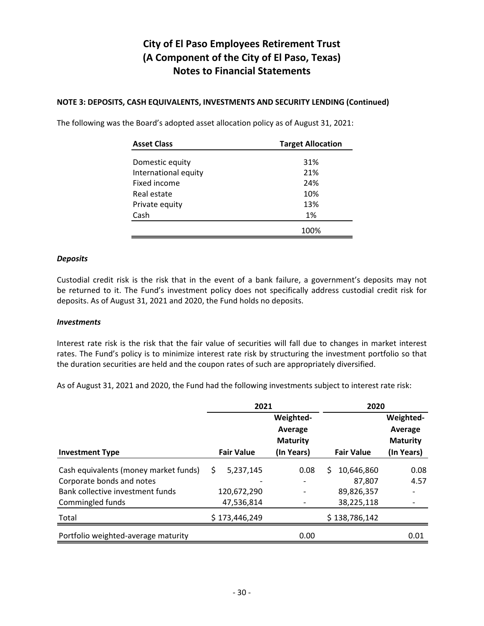### **NOTE 3: DEPOSITS, CASH EQUIVALENTS, INVESTMENTS AND SECURITY LENDING (Continued)**

| <b>Asset Class</b>   | <b>Target Allocation</b> |  |  |  |  |  |
|----------------------|--------------------------|--|--|--|--|--|
|                      |                          |  |  |  |  |  |
| Domestic equity      | 31%                      |  |  |  |  |  |
| International equity | 21%                      |  |  |  |  |  |
| Fixed income         | 24%                      |  |  |  |  |  |
| Real estate          | 10%                      |  |  |  |  |  |
| Private equity       | 13%                      |  |  |  |  |  |
| Cash                 | 1%                       |  |  |  |  |  |
|                      | 100%                     |  |  |  |  |  |

The following was the Board's adopted asset allocation policy as of August 31, 2021:

### *Deposits*

Custodial credit risk is the risk that in the event of a bank failure, a government's deposits may not be returned to it. The Fund's investment policy does not specifically address custodial credit risk for deposits. As of August 31, 2021 and 2020, the Fund holds no deposits.

#### *Investments*

Interest rate risk is the risk that the fair value of securities will fall due to changes in market interest rates. The Fund's policy is to minimize interest rate risk by structuring the investment portfolio so that the duration securities are held and the coupon rates of such are appropriately diversified.

As of August 31, 2021 and 2020, the Fund had the following investments subject to interest rate risk:

|                                       | 2021              |                                                       | 2020              |                                                       |  |  |
|---------------------------------------|-------------------|-------------------------------------------------------|-------------------|-------------------------------------------------------|--|--|
|                                       | <b>Fair Value</b> | Weighted-<br>Average<br><b>Maturity</b><br>(In Years) | <b>Fair Value</b> | Weighted-<br>Average<br><b>Maturity</b><br>(In Years) |  |  |
| <b>Investment Type</b>                |                   |                                                       |                   |                                                       |  |  |
| Cash equivalents (money market funds) | Ś<br>5,237,145    | 0.08                                                  | 10,646,860<br>Ś   | 0.08                                                  |  |  |
| Corporate bonds and notes             |                   |                                                       | 87,807            | 4.57                                                  |  |  |
| Bank collective investment funds      | 120,672,290       |                                                       | 89,826,357        |                                                       |  |  |
| Commingled funds                      | 47,536,814        |                                                       | 38,225,118        |                                                       |  |  |
| Total                                 | \$173,446,249     |                                                       | \$138,786,142     |                                                       |  |  |
| Portfolio weighted-average maturity   |                   | 0.00                                                  |                   | 0.01                                                  |  |  |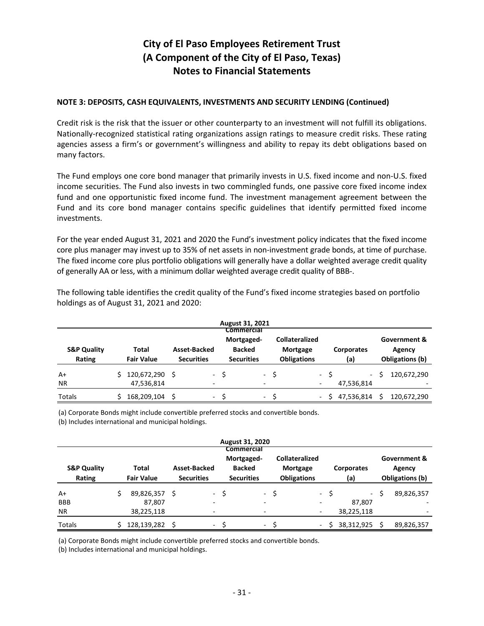#### **NOTE 3: DEPOSITS, CASH EQUIVALENTS, INVESTMENTS AND SECURITY LENDING (Continued)**

Credit risk is the risk that the issuer or other counterparty to an investment will not fulfill its obligations. Nationally‐recognized statistical rating organizations assign ratings to measure credit risks. These rating agencies assess a firm's or government's willingness and ability to repay its debt obligations based on many factors.

The Fund employs one core bond manager that primarily invests in U.S. fixed income and non‐U.S. fixed income securities. The Fund also invests in two commingled funds, one passive core fixed income index fund and one opportunistic fixed income fund. The investment management agreement between the Fund and its core bond manager contains specific guidelines that identify permitted fixed income investments.

For the year ended August 31, 2021 and 2020 the Fund's investment policy indicates that the fixed income core plus manager may invest up to 35% of net assets in non‐investment grade bonds, at time of purchase. The fixed income core plus portfolio obligations will generally have a dollar weighted average credit quality of generally AA or less, with a minimum dollar weighted average credit quality of BBB‐.

| August 31, 2021        |  |                   |                   |                          |    |                                           |      |                                   |  |                   |  |                           |
|------------------------|--|-------------------|-------------------|--------------------------|----|-------------------------------------------|------|-----------------------------------|--|-------------------|--|---------------------------|
| <b>S&amp;P Quality</b> |  | Total             | Asset-Backed      |                          |    | Commercial<br>Mortgaged-<br><b>Backed</b> |      | <b>Collateralized</b><br>Mortgage |  | <b>Corporates</b> |  | Government &              |
| Rating                 |  | <b>Fair Value</b> | <b>Securities</b> |                          |    | <b>Securities</b>                         |      | <b>Obligations</b>                |  | (a)               |  | Agency<br>Obligations (b) |
| A+                     |  | 120,672,290       |                   | $\sim$ $-$               | -S |                                           | - \$ | $\sim$                            |  | $\sim$            |  | 120,672,290               |
| <b>NR</b>              |  | 47,536,814        |                   | $\overline{\phantom{0}}$ |    | $\overline{\phantom{a}}$                  |      | -                                 |  | 47,536,814        |  |                           |
| Totals                 |  | 168,209,104       |                   | -                        |    | $\overline{\phantom{a}}$                  |      | -                                 |  | 47,536,814        |  | 120,672,290               |

The following table identifies the credit quality of the Fund's fixed income strategies based on portfolio holdings as of August 31, 2021 and 2020:

(a) Corporate Bonds might include convertible preferred stocks and convertible bonds.

(b) Includes international and municipal holdings.

|                                  |                                    |                                            |    | <b>August 31, 2020</b>                                         |      |                                                      |     |                      |     |                                                             |
|----------------------------------|------------------------------------|--------------------------------------------|----|----------------------------------------------------------------|------|------------------------------------------------------|-----|----------------------|-----|-------------------------------------------------------------|
| <b>S&amp;P Quality</b><br>Rating | Total<br><b>Fair Value</b>         | Asset-Backed<br><b>Securities</b>          |    | Commercial<br>Mortgaged-<br><b>Backed</b><br><b>Securities</b> |      | Collateralized<br>Mortgage<br><b>Obligations</b>     |     | Corporates<br>(a)    |     | <b>Government &amp;</b><br>Agency<br><b>Obligations (b)</b> |
| A+<br><b>BBB</b><br><b>NR</b>    | 89,826,357<br>87,807<br>38,225,118 | $\sim 10$<br>$\overline{\phantom{0}}$<br>٠ | .S | -<br>-                                                         | - \$ | $\overline{\phantom{a}}$<br>$\overline{\phantom{a}}$ | - S | 87,807<br>38,225,118 | - S | 89,826,357                                                  |
| Totals                           | 128,139,282                        | $\sim$                                     |    | $\overline{\phantom{a}}$                                       |      | $\overline{\phantom{a}}$                             |     | 38,312,925           | ς   | 89,826,357                                                  |

(a) Corporate Bonds might include convertible preferred stocks and convertible bonds.

(b) Includes international and municipal holdings.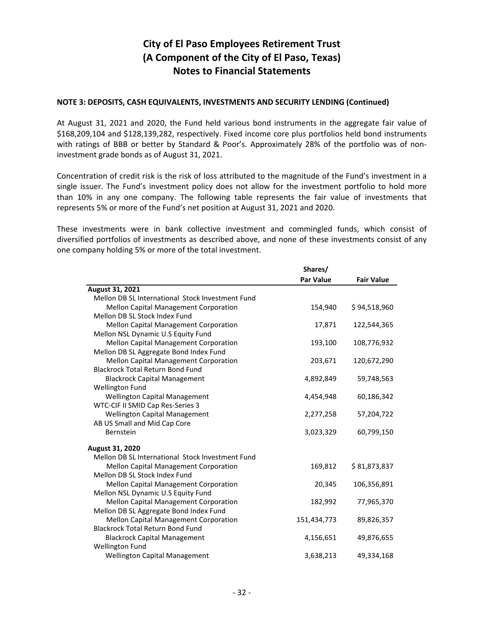#### **NOTE 3: DEPOSITS, CASH EQUIVALENTS, INVESTMENTS AND SECURITY LENDING (Continued)**

At August 31, 2021 and 2020, the Fund held various bond instruments in the aggregate fair value of \$168,209,104 and \$128,139,282, respectively. Fixed income core plus portfolios held bond instruments with ratings of BBB or better by Standard & Poor's. Approximately 28% of the portfolio was of noninvestment grade bonds as of August 31, 2021.

Concentration of credit risk is the risk of loss attributed to the magnitude of the Fund's investment in a single issuer. The Fund's investment policy does not allow for the investment portfolio to hold more than 10% in any one company. The following table represents the fair value of investments that represents 5% or more of the Fund's net position at August 31, 2021 and 2020.

These investments were in bank collective investment and commingled funds, which consist of diversified portfolios of investments as described above, and none of these investments consist of any one company holding 5% or more of the total investment.

|                                                  | Shares/          |                   |
|--------------------------------------------------|------------------|-------------------|
|                                                  | <b>Par Value</b> | <b>Fair Value</b> |
| August 31, 2021                                  |                  |                   |
| Mellon DB SL International Stock Investment Fund |                  |                   |
| <b>Mellon Capital Management Corporation</b>     | 154,940          | \$94,518,960      |
| Mellon DB SL Stock Index Fund                    |                  |                   |
| <b>Mellon Capital Management Corporation</b>     | 17,871           | 122,544,365       |
| Mellon NSL Dynamic U.S Equity Fund               |                  |                   |
| <b>Mellon Capital Management Corporation</b>     | 193,100          | 108,776,932       |
| Mellon DB SL Aggregate Bond Index Fund           |                  |                   |
| <b>Mellon Capital Management Corporation</b>     | 203,671          | 120,672,290       |
| <b>Blackrock Total Return Bond Fund</b>          |                  |                   |
| <b>Blackrock Capital Management</b>              | 4,892,849        | 59,748,563        |
| <b>Wellington Fund</b>                           |                  |                   |
| <b>Wellington Capital Management</b>             | 4,454,948        | 60,186,342        |
| WTC-CIF II SMID Cap Res-Series 3                 |                  |                   |
| <b>Wellington Capital Management</b>             | 2,277,258        | 57,204,722        |
| AB US Small and Mid Cap Core                     |                  |                   |
| Bernstein                                        | 3,023,329        | 60,799,150        |
| <b>August 31, 2020</b>                           |                  |                   |
| Mellon DB SL International Stock Investment Fund |                  |                   |
| <b>Mellon Capital Management Corporation</b>     | 169,812          | \$81,873,837      |
| Mellon DB SL Stock Index Fund                    |                  |                   |
| <b>Mellon Capital Management Corporation</b>     | 20,345           | 106,356,891       |
| Mellon NSL Dynamic U.S Equity Fund               |                  |                   |
| <b>Mellon Capital Management Corporation</b>     | 182,992          | 77,965,370        |
| Mellon DB SL Aggregate Bond Index Fund           |                  |                   |
| <b>Mellon Capital Management Corporation</b>     | 151,434,773      | 89,826,357        |
| <b>Blackrock Total Return Bond Fund</b>          |                  |                   |
| <b>Blackrock Capital Management</b>              | 4,156,651        | 49,876,655        |
| <b>Wellington Fund</b>                           |                  |                   |
| <b>Wellington Capital Management</b>             | 3,638,213        | 49,334,168        |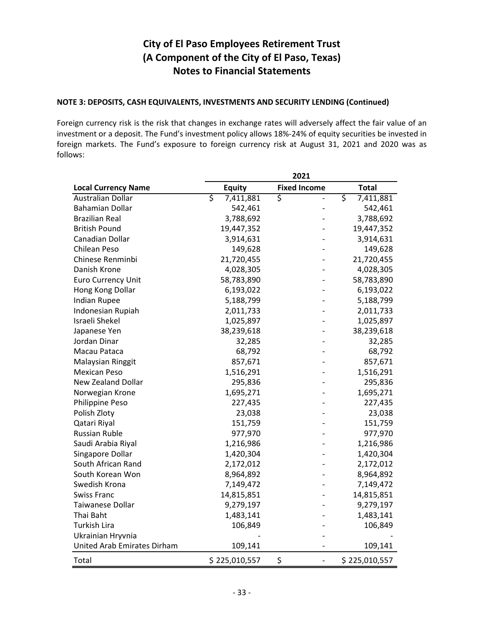### **NOTE 3: DEPOSITS, CASH EQUIVALENTS, INVESTMENTS AND SECURITY LENDING (Continued)**

Foreign currency risk is the risk that changes in exchange rates will adversely affect the fair value of an investment or a deposit. The Fund's investment policy allows 18%‐24% of equity securities be invested in foreign markets. The Fund's exposure to foreign currency risk at August 31, 2021 and 2020 was as follows:

|                             | 2021            |                     |                 |  |  |  |
|-----------------------------|-----------------|---------------------|-----------------|--|--|--|
| <b>Local Currency Name</b>  | Equity          | <b>Fixed Income</b> | <b>Total</b>    |  |  |  |
| <b>Australian Dollar</b>    | \$<br>7,411,881 | \$                  | \$<br>7,411,881 |  |  |  |
| Bahamian Dollar             | 542,461         |                     | 542,461         |  |  |  |
| <b>Brazilian Real</b>       | 3,788,692       |                     | 3,788,692       |  |  |  |
| <b>British Pound</b>        | 19,447,352      |                     | 19,447,352      |  |  |  |
| Canadian Dollar             | 3,914,631       |                     | 3,914,631       |  |  |  |
| Chilean Peso                | 149,628         |                     | 149,628         |  |  |  |
| Chinese Renminbi            | 21,720,455      |                     | 21,720,455      |  |  |  |
| Danish Krone                | 4,028,305       |                     | 4,028,305       |  |  |  |
| <b>Euro Currency Unit</b>   | 58,783,890      |                     | 58,783,890      |  |  |  |
| Hong Kong Dollar            | 6,193,022       |                     | 6,193,022       |  |  |  |
| <b>Indian Rupee</b>         | 5,188,799       |                     | 5,188,799       |  |  |  |
| Indonesian Rupiah           | 2,011,733       |                     | 2,011,733       |  |  |  |
| Israeli Shekel              | 1,025,897       |                     | 1,025,897       |  |  |  |
| Japanese Yen                | 38,239,618      |                     | 38,239,618      |  |  |  |
| Jordan Dinar                | 32,285          |                     | 32,285          |  |  |  |
| Macau Pataca                | 68,792          |                     | 68,792          |  |  |  |
| Malaysian Ringgit           | 857,671         |                     | 857,671         |  |  |  |
| Mexican Peso                | 1,516,291       |                     | 1,516,291       |  |  |  |
| New Zealand Dollar          | 295,836         |                     | 295,836         |  |  |  |
| Norwegian Krone             | 1,695,271       |                     | 1,695,271       |  |  |  |
| Philippine Peso             | 227,435         |                     | 227,435         |  |  |  |
| Polish Zloty                | 23,038          |                     | 23,038          |  |  |  |
| Qatari Riyal                | 151,759         |                     | 151,759         |  |  |  |
| <b>Russian Ruble</b>        | 977,970         |                     | 977,970         |  |  |  |
| Saudi Arabia Riyal          | 1,216,986       |                     | 1,216,986       |  |  |  |
| Singapore Dollar            | 1,420,304       |                     | 1,420,304       |  |  |  |
| South African Rand          | 2,172,012       |                     | 2,172,012       |  |  |  |
| South Korean Won            | 8,964,892       |                     | 8,964,892       |  |  |  |
| Swedish Krona               | 7,149,472       |                     | 7,149,472       |  |  |  |
| <b>Swiss Franc</b>          | 14,815,851      |                     | 14,815,851      |  |  |  |
| Taiwanese Dollar            | 9,279,197       |                     | 9,279,197       |  |  |  |
| Thai Baht                   | 1,483,141       |                     | 1,483,141       |  |  |  |
| <b>Turkish Lira</b>         | 106,849         |                     | 106,849         |  |  |  |
| Ukrainian Hryvnia           |                 |                     |                 |  |  |  |
| United Arab Emirates Dirham | 109,141         |                     | 109,141         |  |  |  |
| Total                       | \$225,010,557   | \$                  | \$225,010,557   |  |  |  |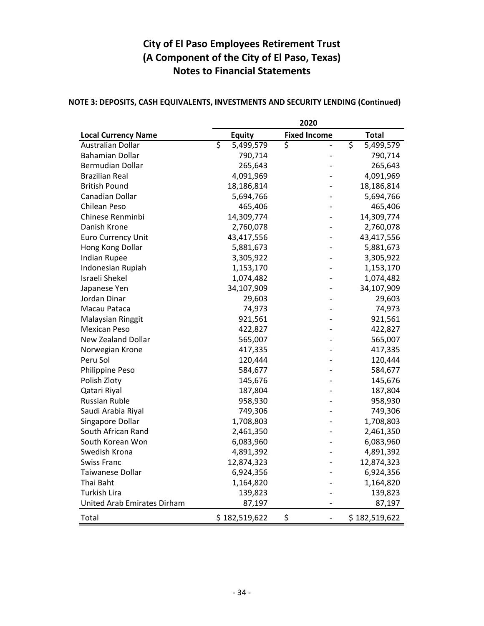|                             |                | 2020                |                |
|-----------------------------|----------------|---------------------|----------------|
| <b>Local Currency Name</b>  | <b>Equity</b>  | <b>Fixed Income</b> | <b>Total</b>   |
| <b>Australian Dollar</b>    | ड<br>5,499,579 | 5                   | ड<br>5,499,579 |
| <b>Bahamian Dollar</b>      | 790,714        |                     | 790,714        |
| <b>Bermudian Dollar</b>     | 265,643        |                     | 265,643        |
| <b>Brazilian Real</b>       | 4,091,969      |                     | 4,091,969      |
| <b>British Pound</b>        | 18,186,814     |                     | 18,186,814     |
| Canadian Dollar             | 5,694,766      |                     | 5,694,766      |
| Chilean Peso                | 465,406        |                     | 465,406        |
| Chinese Renminbi            | 14,309,774     |                     | 14,309,774     |
| Danish Krone                | 2,760,078      |                     | 2,760,078      |
| <b>Euro Currency Unit</b>   | 43,417,556     |                     | 43,417,556     |
| Hong Kong Dollar            | 5,881,673      |                     | 5,881,673      |
| <b>Indian Rupee</b>         | 3,305,922      |                     | 3,305,922      |
| Indonesian Rupiah           | 1,153,170      |                     | 1,153,170      |
| <b>Israeli Shekel</b>       | 1,074,482      |                     | 1,074,482      |
| Japanese Yen                | 34,107,909     |                     | 34,107,909     |
| Jordan Dinar                | 29,603         |                     | 29,603         |
| Macau Pataca                | 74,973         |                     | 74,973         |
| Malaysian Ringgit           | 921,561        |                     | 921,561        |
| <b>Mexican Peso</b>         | 422,827        |                     | 422,827        |
| <b>New Zealand Dollar</b>   | 565,007        |                     | 565,007        |
| Norwegian Krone             | 417,335        |                     | 417,335        |
| Peru Sol                    | 120,444        |                     | 120,444        |
| Philippine Peso             | 584,677        |                     | 584,677        |
| Polish Zloty                | 145,676        |                     | 145,676        |
| Qatari Riyal                | 187,804        |                     | 187,804        |
| <b>Russian Ruble</b>        | 958,930        |                     | 958,930        |
| Saudi Arabia Riyal          | 749,306        |                     | 749,306        |
| Singapore Dollar            | 1,708,803      |                     | 1,708,803      |
| South African Rand          | 2,461,350      |                     | 2,461,350      |
| South Korean Won            | 6,083,960      |                     | 6,083,960      |
| Swedish Krona               | 4,891,392      |                     | 4,891,392      |
| <b>Swiss Franc</b>          | 12,874,323     |                     | 12,874,323     |
| Taiwanese Dollar            | 6,924,356      |                     | 6,924,356      |
| Thai Baht                   | 1,164,820      |                     | 1,164,820      |
| Turkish Lira                | 139,823        |                     | 139,823        |
| United Arab Emirates Dirham | 87,197         |                     | 87,197         |
| Total                       | \$182,519,622  | \$                  | \$182,519,622  |

### **NOTE 3: DEPOSITS, CASH EQUIVALENTS, INVESTMENTS AND SECURITY LENDING (Continued)**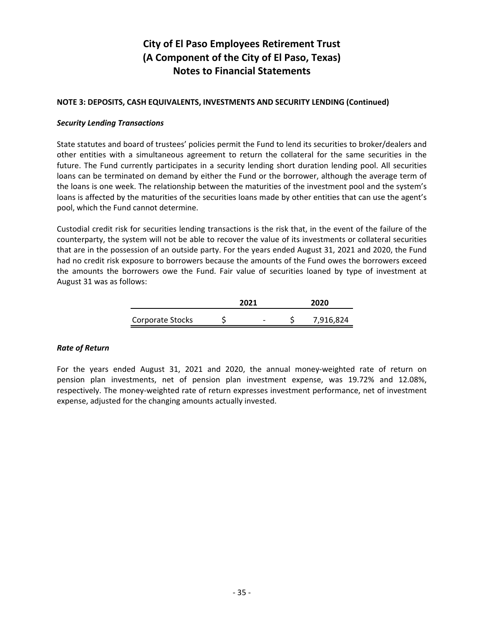### **NOTE 3: DEPOSITS, CASH EQUIVALENTS, INVESTMENTS AND SECURITY LENDING (Continued)**

### *Security Lending Transactions*

State statutes and board of trustees' policies permit the Fund to lend its securities to broker/dealers and other entities with a simultaneous agreement to return the collateral for the same securities in the future. The Fund currently participates in a security lending short duration lending pool. All securities loans can be terminated on demand by either the Fund or the borrower, although the average term of the loans is one week. The relationship between the maturities of the investment pool and the system's loans is affected by the maturities of the securities loans made by other entities that can use the agent's pool, which the Fund cannot determine.

Custodial credit risk for securities lending transactions is the risk that, in the event of the failure of the counterparty, the system will not be able to recover the value of its investments or collateral securities that are in the possession of an outside party. For the years ended August 31, 2021 and 2020, the Fund had no credit risk exposure to borrowers because the amounts of the Fund owes the borrowers exceed the amounts the borrowers owe the Fund. Fair value of securities loaned by type of investment at August 31 was as follows:

|                  | 2021                     | 2020      |  |  |
|------------------|--------------------------|-----------|--|--|
| Corporate Stocks | $\overline{\phantom{0}}$ | 7,916,824 |  |  |

### *Rate of Return*

For the years ended August 31, 2021 and 2020, the annual money-weighted rate of return on pension plan investments, net of pension plan investment expense, was 19.72% and 12.08%, respectively. The money‐weighted rate of return expresses investment performance, net of investment expense, adjusted for the changing amounts actually invested.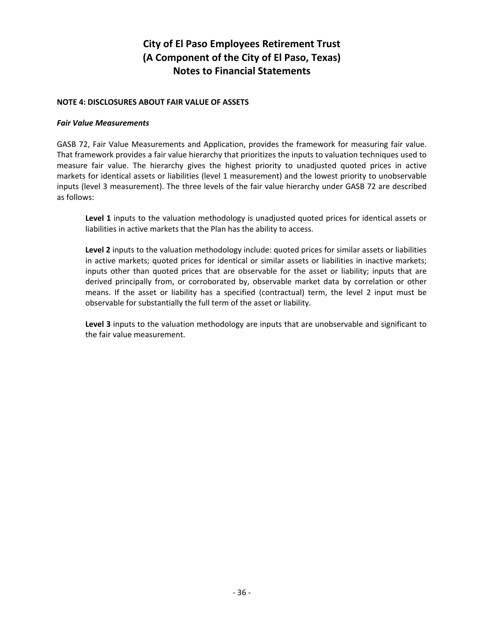### **NOTE 4: DISCLOSURES ABOUT FAIR VALUE OF ASSETS**

#### *Fair Value Measurements*

GASB 72, Fair Value Measurements and Application, provides the framework for measuring fair value. That framework provides a fair value hierarchy that prioritizes the inputs to valuation techniques used to measure fair value. The hierarchy gives the highest priority to unadjusted quoted prices in active markets for identical assets or liabilities (level 1 measurement) and the lowest priority to unobservable inputs (level 3 measurement). The three levels of the fair value hierarchy under GASB 72 are described as follows:

**Level 1** inputs to the valuation methodology is unadjusted quoted prices for identical assets or liabilities in active markets that the Plan has the ability to access.

**Level 2** inputs to the valuation methodology include: quoted prices for similar assets or liabilities in active markets; quoted prices for identical or similar assets or liabilities in inactive markets; inputs other than quoted prices that are observable for the asset or liability; inputs that are derived principally from, or corroborated by, observable market data by correlation or other means. If the asset or liability has a specified (contractual) term, the level 2 input must be observable for substantially the full term of the asset or liability.

**Level 3** inputs to the valuation methodology are inputs that are unobservable and significant to the fair value measurement.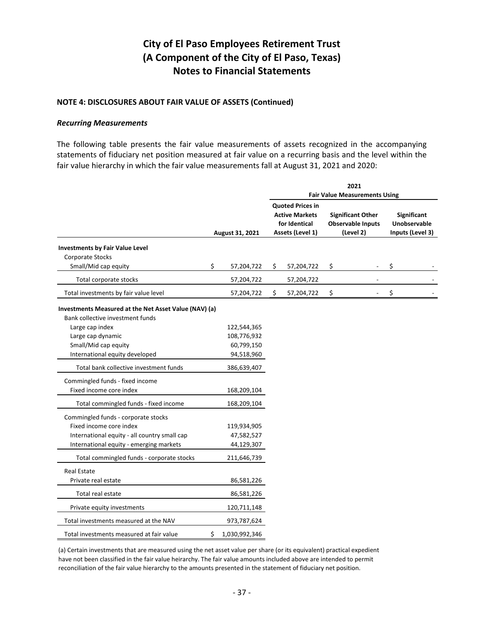#### **NOTE 4: DISCLOSURES ABOUT FAIR VALUE OF ASSETS (Continued)**

#### *Recurring Measurements*

The following table presents the fair value measurements of assets recognized in the accompanying statements of fiduciary net position measured at fair value on a recurring basis and the level within the fair value hierarchy in which the fair value measurements fall at August 31, 2021 and 2020:

|                                                            |                     | 2021 |                                                                   |    |                                                                                              |                             |
|------------------------------------------------------------|---------------------|------|-------------------------------------------------------------------|----|----------------------------------------------------------------------------------------------|-----------------------------|
|                                                            |                     |      | <b>Quoted Prices in</b><br><b>Active Markets</b><br>for Identical |    | <b>Fair Value Measurements Using</b><br><b>Significant Other</b><br><b>Observable Inputs</b> | Significant<br>Unobservable |
|                                                            | August 31, 2021     |      | Assets (Level 1)                                                  |    | (Level 2)                                                                                    | Inputs (Level 3)            |
| <b>Investments by Fair Value Level</b>                     |                     |      |                                                                   |    |                                                                                              |                             |
| Corporate Stocks                                           |                     |      |                                                                   |    |                                                                                              |                             |
| Small/Mid cap equity                                       | \$<br>57,204,722    | S    | 57,204,722                                                        | \$ |                                                                                              | \$                          |
| Total corporate stocks                                     | 57,204,722          |      | 57,204,722                                                        |    |                                                                                              |                             |
| Total investments by fair value level                      | 57,204,722          | \$   | 57,204,722                                                        | \$ |                                                                                              | \$                          |
| Investments Measured at the Net Asset Value (NAV) (a)      |                     |      |                                                                   |    |                                                                                              |                             |
| Bank collective investment funds                           |                     |      |                                                                   |    |                                                                                              |                             |
| Large cap index                                            | 122,544,365         |      |                                                                   |    |                                                                                              |                             |
| Large cap dynamic                                          | 108,776,932         |      |                                                                   |    |                                                                                              |                             |
| Small/Mid cap equity                                       | 60,799,150          |      |                                                                   |    |                                                                                              |                             |
| International equity developed                             | 94,518,960          |      |                                                                   |    |                                                                                              |                             |
| Total bank collective investment funds                     | 386,639,407         |      |                                                                   |    |                                                                                              |                             |
|                                                            |                     |      |                                                                   |    |                                                                                              |                             |
| Commingled funds - fixed income<br>Fixed income core index |                     |      |                                                                   |    |                                                                                              |                             |
|                                                            | 168,209,104         |      |                                                                   |    |                                                                                              |                             |
| Total commingled funds - fixed income                      | 168,209,104         |      |                                                                   |    |                                                                                              |                             |
| Commingled funds - corporate stocks                        |                     |      |                                                                   |    |                                                                                              |                             |
| Fixed income core index                                    | 119,934,905         |      |                                                                   |    |                                                                                              |                             |
| International equity - all country small cap               | 47,582,527          |      |                                                                   |    |                                                                                              |                             |
| International equity - emerging markets                    | 44,129,307          |      |                                                                   |    |                                                                                              |                             |
| Total commingled funds - corporate stocks                  | 211,646,739         |      |                                                                   |    |                                                                                              |                             |
| <b>Real Estate</b>                                         |                     |      |                                                                   |    |                                                                                              |                             |
| Private real estate                                        | 86,581,226          |      |                                                                   |    |                                                                                              |                             |
|                                                            |                     |      |                                                                   |    |                                                                                              |                             |
| Total real estate                                          | 86,581,226          |      |                                                                   |    |                                                                                              |                             |
| Private equity investments                                 | 120,711,148         |      |                                                                   |    |                                                                                              |                             |
| Total investments measured at the NAV                      | 973,787,624         |      |                                                                   |    |                                                                                              |                             |
| Total investments measured at fair value                   | \$<br>1,030,992,346 |      |                                                                   |    |                                                                                              |                             |

(a) Certain investments that are measured using the net asset value per share (or its equivalent) practical expedient have not been classified in the fair value heirarchy. The fair value amounts included above are intended to permit reconciliation of the fair value hierarchy to the amounts presented in the statement of fiduciary net position.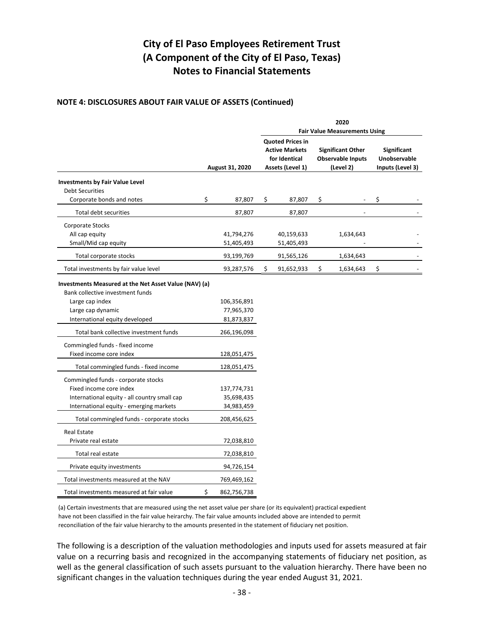#### **NOTE 4: DISCLOSURES ABOUT FAIR VALUE OF ASSETS (Continued)**

|                                                                                                              | 2020<br><b>Fair Value Measurements Using</b> |             |    |                                                                                       |                                                                   |           |                                                        |
|--------------------------------------------------------------------------------------------------------------|----------------------------------------------|-------------|----|---------------------------------------------------------------------------------------|-------------------------------------------------------------------|-----------|--------------------------------------------------------|
|                                                                                                              | August 31, 2020                              |             |    | <b>Quoted Prices in</b><br><b>Active Markets</b><br>for Identical<br>Assets (Level 1) | <b>Significant Other</b><br><b>Observable Inputs</b><br>(Level 2) |           | <b>Significant</b><br>Unobservable<br>Inputs (Level 3) |
| <b>Investments by Fair Value Level</b>                                                                       |                                              |             |    |                                                                                       |                                                                   |           |                                                        |
| <b>Debt Securities</b><br>Corporate bonds and notes                                                          | \$                                           | 87,807      | \$ | 87,807                                                                                | \$                                                                |           | Ś                                                      |
| Total debt securities                                                                                        |                                              | 87,807      |    | 87,807                                                                                |                                                                   |           |                                                        |
|                                                                                                              |                                              |             |    |                                                                                       |                                                                   |           |                                                        |
| Corporate Stocks                                                                                             |                                              |             |    |                                                                                       |                                                                   |           |                                                        |
| All cap equity                                                                                               |                                              | 41,794,276  |    | 40,159,633                                                                            |                                                                   | 1,634,643 |                                                        |
| Small/Mid cap equity                                                                                         |                                              | 51,405,493  |    | 51,405,493                                                                            |                                                                   |           |                                                        |
| Total corporate stocks                                                                                       |                                              | 93,199,769  |    | 91,565,126                                                                            |                                                                   | 1,634,643 |                                                        |
| Total investments by fair value level                                                                        |                                              | 93,287,576  | Ś. | 91,652,933                                                                            | \$                                                                | 1,634,643 | \$                                                     |
| Investments Measured at the Net Asset Value (NAV) (a)<br>Bank collective investment funds<br>Large cap index |                                              | 106,356,891 |    |                                                                                       |                                                                   |           |                                                        |
| Large cap dynamic                                                                                            |                                              | 77,965,370  |    |                                                                                       |                                                                   |           |                                                        |
| International equity developed                                                                               |                                              | 81,873,837  |    |                                                                                       |                                                                   |           |                                                        |
| Total bank collective investment funds                                                                       |                                              | 266,196,098 |    |                                                                                       |                                                                   |           |                                                        |
| Commingled funds - fixed income<br>Fixed income core index                                                   |                                              | 128,051,475 |    |                                                                                       |                                                                   |           |                                                        |
| Total commingled funds - fixed income                                                                        |                                              | 128,051,475 |    |                                                                                       |                                                                   |           |                                                        |
| Commingled funds - corporate stocks                                                                          |                                              |             |    |                                                                                       |                                                                   |           |                                                        |
| Fixed income core index                                                                                      |                                              | 137,774,731 |    |                                                                                       |                                                                   |           |                                                        |
| International equity - all country small cap                                                                 |                                              | 35,698,435  |    |                                                                                       |                                                                   |           |                                                        |
| International equity - emerging markets                                                                      |                                              | 34,983,459  |    |                                                                                       |                                                                   |           |                                                        |
| Total commingled funds - corporate stocks                                                                    |                                              | 208,456,625 |    |                                                                                       |                                                                   |           |                                                        |
| <b>Real Estate</b>                                                                                           |                                              |             |    |                                                                                       |                                                                   |           |                                                        |
| Private real estate                                                                                          |                                              | 72,038,810  |    |                                                                                       |                                                                   |           |                                                        |
| Total real estate                                                                                            |                                              | 72,038,810  |    |                                                                                       |                                                                   |           |                                                        |
| Private equity investments                                                                                   |                                              | 94,726,154  |    |                                                                                       |                                                                   |           |                                                        |
| Total investments measured at the NAV                                                                        |                                              | 769,469,162 |    |                                                                                       |                                                                   |           |                                                        |
| Total investments measured at fair value                                                                     | \$                                           | 862,756,738 |    |                                                                                       |                                                                   |           |                                                        |

(a) Certain investments that are measured using the net asset value per share (or its equivalent) practical expedient have not been classified in the fair value heirarchy. The fair value amounts included above are intended to permit reconciliation of the fair value hierarchy to the amounts presented in the statement of fiduciary net position.

The following is a description of the valuation methodologies and inputs used for assets measured at fair value on a recurring basis and recognized in the accompanying statements of fiduciary net position, as well as the general classification of such assets pursuant to the valuation hierarchy. There have been no significant changes in the valuation techniques during the year ended August 31, 2021.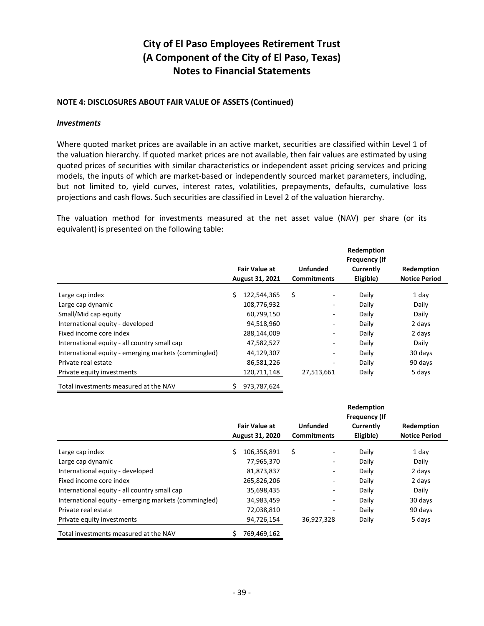### **NOTE 4: DISCLOSURES ABOUT FAIR VALUE OF ASSETS (Continued)**

#### *Investments*

Where quoted market prices are available in an active market, securities are classified within Level 1 of the valuation hierarchy. If quoted market prices are not available, then fair values are estimated by using quoted prices of securities with similar characteristics or independent asset pricing services and pricing models, the inputs of which are market‐based or independently sourced market parameters, including, but not limited to, yield curves, interest rates, volatilities, prepayments, defaults, cumulative loss projections and cash flows. Such securities are classified in Level 2 of the valuation hierarchy.

The valuation method for investments measured at the net asset value (NAV) per share (or its equivalent) is presented on the following table:

|                                                      |    |                      |                    | Redemption<br><b>Frequency (If</b> |                      |
|------------------------------------------------------|----|----------------------|--------------------|------------------------------------|----------------------|
|                                                      |    | <b>Fair Value at</b> | <b>Unfunded</b>    | Currently                          | Redemption           |
|                                                      |    | August 31, 2021      | <b>Commitments</b> | Eligible)                          | <b>Notice Period</b> |
| Large cap index                                      | Ś. | 122,544,365          | \$<br>Ξ.           | Daily                              | 1 day                |
| Large cap dynamic                                    |    | 108,776,932          |                    | Daily                              | Daily                |
| Small/Mid cap equity                                 |    | 60,799,150           | ۰.                 | Daily                              | Daily                |
| International equity - developed                     |    | 94,518,960           |                    | Daily                              | 2 days               |
| Fixed income core index                              |    | 288,144,009          | ٠                  | Daily                              | 2 days               |
| International equity - all country small cap         |    | 47,582,527           |                    | Daily                              | Daily                |
| International equity - emerging markets (commingled) |    | 44,129,307           |                    | Daily                              | 30 days              |
| Private real estate                                  |    | 86,581,226           |                    | Daily                              | 90 days              |
| Private equity investments                           |    | 120,711,148          | 27,513,661         | Daily                              | 5 days               |
| Total investments measured at the NAV                |    | 973,787,624          |                    |                                    |                      |

|                                                      |    |                        |                    | Redemption<br><b>Frequency (If</b> |                      |
|------------------------------------------------------|----|------------------------|--------------------|------------------------------------|----------------------|
|                                                      |    | <b>Fair Value at</b>   | Unfunded           | Currently                          | Redemption           |
|                                                      |    | <b>August 31, 2020</b> | <b>Commitments</b> | Eligible)                          | <b>Notice Period</b> |
| Large cap index                                      | Ś. | 106,356,891            | \$<br>۰            | Daily                              | 1 day                |
| Large cap dynamic                                    |    | 77,965,370             |                    | Daily                              | Daily                |
| International equity - developed                     |    | 81,873,837             | ۰.                 | Daily                              | 2 days               |
| Fixed income core index                              |    | 265,826,206            |                    | Daily                              | 2 days               |
| International equity - all country small cap         |    | 35,698,435             |                    | Daily                              | Daily                |
| International equity - emerging markets (commingled) |    | 34,983,459             | ۰                  | Daily                              | 30 days              |
| Private real estate                                  |    | 72,038,810             |                    | Daily                              | 90 days              |
| Private equity investments                           |    | 94,726,154             | 36,927,328         | Daily                              | 5 days               |
| Total investments measured at the NAV                |    | 769,469,162            |                    |                                    |                      |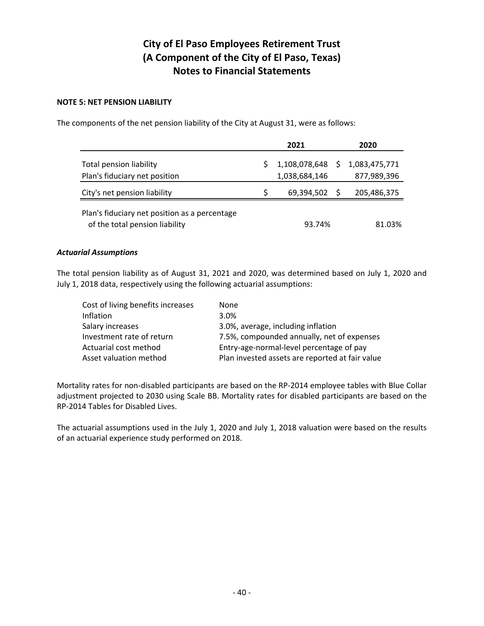#### **NOTE 5: NET PENSION LIABILITY**

The components of the net pension liability of the City at August 31, were as follows:

|                                                                                 | 2021                           |    | 2020                         |
|---------------------------------------------------------------------------------|--------------------------------|----|------------------------------|
| Total pension liability<br>Plan's fiduciary net position                        | 1,108,078,648<br>1,038,684,146 | -S | 1,083,475,771<br>877,989,396 |
| City's net pension liability                                                    | 69,394,502 \$                  |    | 205,486,375                  |
| Plan's fiduciary net position as a percentage<br>of the total pension liability | 93.74%                         |    | 81.03%                       |

#### *Actuarial Assumptions*

The total pension liability as of August 31, 2021 and 2020, was determined based on July 1, 2020 and July 1, 2018 data, respectively using the following actuarial assumptions:

| Cost of living benefits increases | <b>None</b>                                     |
|-----------------------------------|-------------------------------------------------|
| Inflation                         | 3.0%                                            |
| Salary increases                  | 3.0%, average, including inflation              |
| Investment rate of return         | 7.5%, compounded annually, net of expenses      |
| Actuarial cost method             | Entry-age-normal-level percentage of pay        |
| Asset valuation method            | Plan invested assets are reported at fair value |

Mortality rates for non‐disabled participants are based on the RP‐2014 employee tables with Blue Collar adjustment projected to 2030 using Scale BB. Mortality rates for disabled participants are based on the RP‐2014 Tables for Disabled Lives.

The actuarial assumptions used in the July 1, 2020 and July 1, 2018 valuation were based on the results of an actuarial experience study performed on 2018.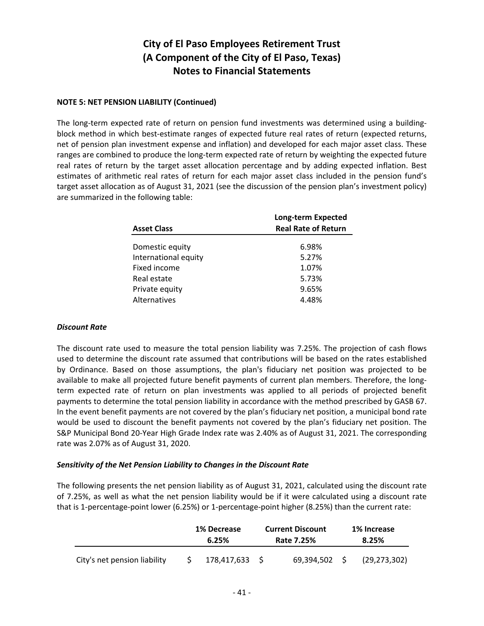### **NOTE 5: NET PENSION LIABILITY (Continued)**

The long‐term expected rate of return on pension fund investments was determined using a building‐ block method in which best-estimate ranges of expected future real rates of return (expected returns, net of pension plan investment expense and inflation) and developed for each major asset class. These ranges are combined to produce the long-term expected rate of return by weighting the expected future real rates of return by the target asset allocation percentage and by adding expected inflation. Best estimates of arithmetic real rates of return for each major asset class included in the pension fund's target asset allocation as of August 31, 2021 (see the discussion of the pension plan's investment policy) are summarized in the following table:

|                      | <b>Long-term Expected</b>  |  |  |  |  |  |  |
|----------------------|----------------------------|--|--|--|--|--|--|
| <b>Asset Class</b>   | <b>Real Rate of Return</b> |  |  |  |  |  |  |
| Domestic equity      | 6.98%                      |  |  |  |  |  |  |
| International equity | 5.27%                      |  |  |  |  |  |  |
| Fixed income         | 1.07%                      |  |  |  |  |  |  |
| Real estate          | 5.73%                      |  |  |  |  |  |  |
| Private equity       | 9.65%                      |  |  |  |  |  |  |
| Alternatives         | 4.48%                      |  |  |  |  |  |  |

### *Discount Rate*

The discount rate used to measure the total pension liability was 7.25%. The projection of cash flows used to determine the discount rate assumed that contributions will be based on the rates established by Ordinance. Based on those assumptions, the plan's fiduciary net position was projected to be available to make all projected future benefit payments of current plan members. Therefore, the longterm expected rate of return on plan investments was applied to all periods of projected benefit payments to determine the total pension liability in accordance with the method prescribed by GASB 67. In the event benefit payments are not covered by the plan's fiduciary net position, a municipal bond rate would be used to discount the benefit payments not covered by the plan's fiduciary net position. The S&P Municipal Bond 20‐Year High Grade Index rate was 2.40% as of August 31, 2021. The corresponding rate was 2.07% as of August 31, 2020.

### *Sensitivity of the Net Pension Liability to Changes in the Discount Rate*

The following presents the net pension liability as of August 31, 2021, calculated using the discount rate of 7.25%, as well as what the net pension liability would be if it were calculated using a discount rate that is 1‐percentage‐point lower (6.25%) or 1‐percentage‐point higher (8.25%) than the current rate:

|                              | <b>1% Decrease</b><br>6.25% |  | <b>Current Discount</b><br>Rate 7.25% | 1% Increase<br>8.25% |                |  |
|------------------------------|-----------------------------|--|---------------------------------------|----------------------|----------------|--|
| City's net pension liability | 178,417,633 \$              |  | 69.394.502 \$                         |                      | (29, 273, 302) |  |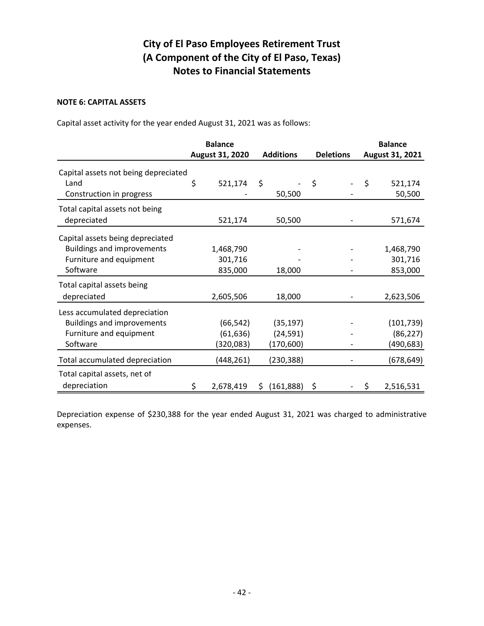### **NOTE 6: CAPITAL ASSETS**

Capital asset activity for the year ended August 31, 2021 was as follows:

|                                                                                                              | <b>Balance</b>                      |    |                                      |    |                  |    | <b>Balance</b>                       |  |  |
|--------------------------------------------------------------------------------------------------------------|-------------------------------------|----|--------------------------------------|----|------------------|----|--------------------------------------|--|--|
|                                                                                                              | August 31, 2020                     |    | <b>Additions</b>                     |    | <b>Deletions</b> |    | August 31, 2021                      |  |  |
| Capital assets not being depreciated<br>Land<br>Construction in progress                                     | \$<br>521,174                       | \$ | 50,500                               | \$ |                  | \$ | 521,174<br>50,500                    |  |  |
| Total capital assets not being<br>depreciated                                                                | 521,174                             |    | 50,500                               |    |                  |    | 571,674                              |  |  |
| Capital assets being depreciated<br><b>Buildings and improvements</b><br>Furniture and equipment<br>Software | 1,468,790<br>301,716<br>835,000     |    | 18,000                               |    |                  |    | 1,468,790<br>301,716<br>853,000      |  |  |
| Total capital assets being<br>depreciated                                                                    | 2,605,506                           |    | 18,000                               |    |                  |    | 2,623,506                            |  |  |
| Less accumulated depreciation<br><b>Buildings and improvements</b><br>Furniture and equipment<br>Software    | (66, 542)<br>(61, 636)<br>(320,083) |    | (35, 197)<br>(24, 591)<br>(170, 600) |    |                  |    | (101, 739)<br>(86, 227)<br>(490,683) |  |  |
| Total accumulated depreciation                                                                               | (448,261)                           |    | (230, 388)                           |    |                  |    | (678, 649)                           |  |  |
| Total capital assets, net of<br>depreciation                                                                 | \$<br>2,678,419                     | S  | (161,888)                            | \$ |                  | Ş  | 2,516,531                            |  |  |

Depreciation expense of \$230,388 for the year ended August 31, 2021 was charged to administrative expenses.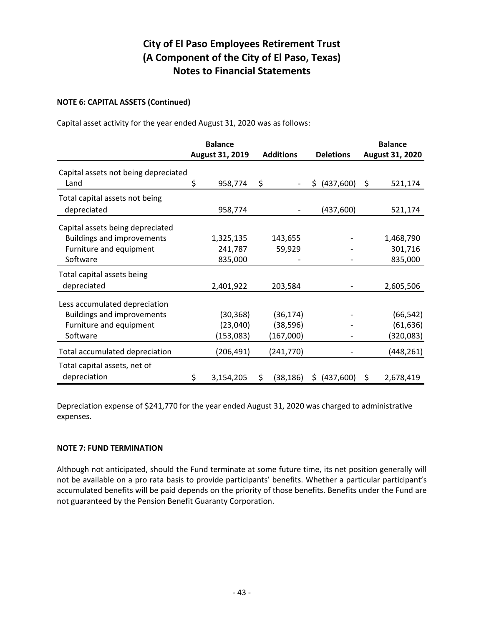### **NOTE 6: CAPITAL ASSETS (Continued)**

Capital asset activity for the year ended August 31, 2020 was as follows:

|                                                                                                              | <b>Balance</b>                     |    |                                     |                  | <b>Balance</b> |                                      |  |
|--------------------------------------------------------------------------------------------------------------|------------------------------------|----|-------------------------------------|------------------|----------------|--------------------------------------|--|
|                                                                                                              | August 31, 2019                    |    | <b>Additions</b>                    | <b>Deletions</b> |                | August 31, 2020                      |  |
| Capital assets not being depreciated<br>Land                                                                 | \$<br>958,774                      | \$ |                                     | \$ (437,600)     | \$             | 521,174                              |  |
| Total capital assets not being<br>depreciated                                                                | 958,774                            |    |                                     | (437,600)        |                | 521,174                              |  |
| Capital assets being depreciated<br><b>Buildings and improvements</b><br>Furniture and equipment<br>Software | 1,325,135<br>241,787<br>835,000    |    | 143,655<br>59,929                   |                  |                | 1,468,790<br>301,716<br>835,000      |  |
| Total capital assets being<br>depreciated                                                                    | 2,401,922                          |    | 203,584                             |                  |                | 2,605,506                            |  |
| Less accumulated depreciation<br><b>Buildings and improvements</b><br>Furniture and equipment<br>Software    | (30, 368)<br>(23,040)<br>(153,083) |    | (36, 174)<br>(38, 596)<br>(167,000) |                  |                | (66, 542)<br>(61, 636)<br>(320, 083) |  |
| Total accumulated depreciation                                                                               | (206,491)                          |    | (241, 770)                          |                  |                | (448,261)                            |  |
| Total capital assets, net of<br>depreciation                                                                 | \$<br>3,154,205                    | Ş. | (38, 186)                           | \$ (437,600)     | S              | 2,678,419                            |  |

Depreciation expense of \$241,770 for the year ended August 31, 2020 was charged to administrative expenses.

### **NOTE 7: FUND TERMINATION**

Although not anticipated, should the Fund terminate at some future time, its net position generally will not be available on a pro rata basis to provide participants' benefits. Whether a particular participant's accumulated benefits will be paid depends on the priority of those benefits. Benefits under the Fund are not guaranteed by the Pension Benefit Guaranty Corporation.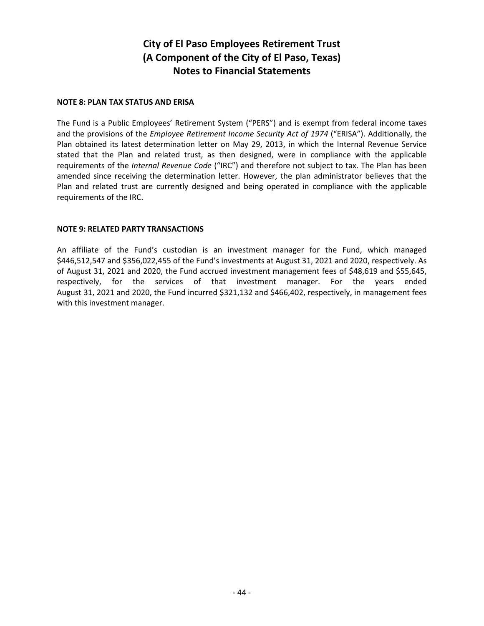#### **NOTE 8: PLAN TAX STATUS AND ERISA**

The Fund is a Public Employees' Retirement System ("PERS") and is exempt from federal income taxes and the provisions of the *Employee Retirement Income Security Act of 1974* ("ERISA"). Additionally, the Plan obtained its latest determination letter on May 29, 2013, in which the Internal Revenue Service stated that the Plan and related trust, as then designed, were in compliance with the applicable requirements of the *Internal Revenue Code* ("IRC") and therefore not subject to tax. The Plan has been amended since receiving the determination letter. However, the plan administrator believes that the Plan and related trust are currently designed and being operated in compliance with the applicable requirements of the IRC.

#### **NOTE 9: RELATED PARTY TRANSACTIONS**

An affiliate of the Fund's custodian is an investment manager for the Fund, which managed \$446,512,547 and \$356,022,455 of the Fund's investments at August 31, 2021 and 2020, respectively. As of August 31, 2021 and 2020, the Fund accrued investment management fees of \$48,619 and \$55,645, respectively, for the services of that investment manager. For the years ended August 31, 2021 and 2020, the Fund incurred \$321,132 and \$466,402, respectively, in management fees with this investment manager.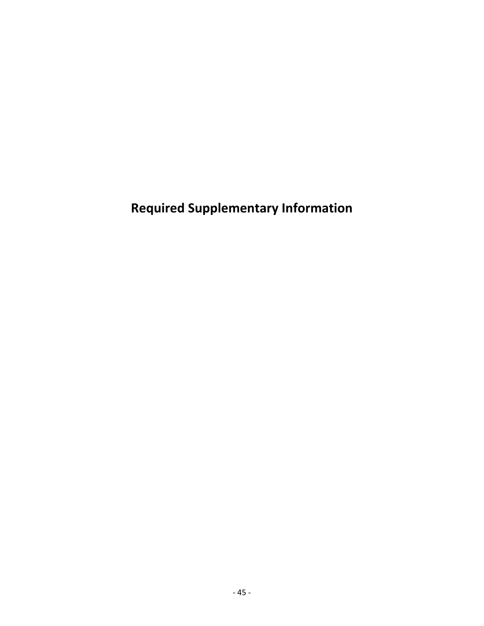**Required Supplementary Information**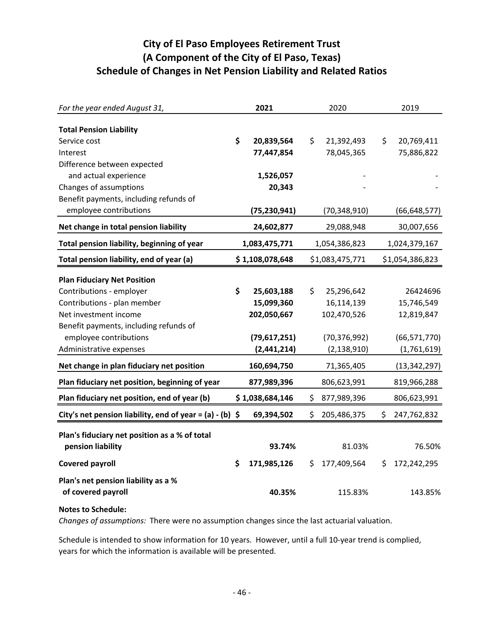## **City of El Paso Employees Retirement Trust (A Component of the City of El Paso, Texas) Schedule of Changes in Net Pension Liability and Related Ratios**

| For the year ended August 31,                              | 2021              | 2020 |                 |    | 2019            |
|------------------------------------------------------------|-------------------|------|-----------------|----|-----------------|
|                                                            |                   |      |                 |    |                 |
| <b>Total Pension Liability</b>                             |                   |      |                 |    |                 |
| Service cost                                               | \$<br>20,839,564  | \$   | 21,392,493      | \$ | 20,769,411      |
| Interest                                                   | 77,447,854        |      | 78,045,365      |    | 75,886,822      |
| Difference between expected                                |                   |      |                 |    |                 |
| and actual experience                                      | 1,526,057         |      |                 |    |                 |
| Changes of assumptions                                     | 20,343            |      |                 |    |                 |
| Benefit payments, including refunds of                     |                   |      |                 |    |                 |
| employee contributions                                     | (75, 230, 941)    |      | (70, 348, 910)  |    | (66, 648, 577)  |
| Net change in total pension liability                      | 24,602,877        |      | 29,088,948      |    | 30,007,656      |
| Total pension liability, beginning of year                 | 1,083,475,771     |      | 1,054,386,823   |    | 1,024,379,167   |
| Total pension liability, end of year (a)                   | \$1,108,078,648   |      | \$1,083,475,771 |    | \$1,054,386,823 |
| <b>Plan Fiduciary Net Position</b>                         |                   |      |                 |    |                 |
| Contributions - employer                                   | \$<br>25,603,188  | S.   | 25,296,642      |    | 26424696        |
| Contributions - plan member                                | 15,099,360        |      | 16,114,139      |    |                 |
| Net investment income                                      |                   |      |                 |    | 15,746,549      |
|                                                            | 202,050,667       |      | 102,470,526     |    | 12,819,847      |
| Benefit payments, including refunds of                     |                   |      |                 |    |                 |
| employee contributions                                     | (79, 617, 251)    |      | (70, 376, 992)  |    | (66, 571, 770)  |
| Administrative expenses                                    | (2,441,214)       |      | (2, 138, 910)   |    | (1,761,619)     |
| Net change in plan fiduciary net position                  | 160,694,750       |      | 71,365,405      |    | (13, 342, 297)  |
| Plan fiduciary net position, beginning of year             | 877,989,396       |      | 806,623,991     |    | 819,966,288     |
| Plan fiduciary net position, end of year (b)               | \$1,038,684,146   | S    | 877,989,396     |    | 806,623,991     |
| City's net pension liability, end of year = $(a) - (b)$ \$ | 69,394,502        | Ś.   | 205,486,375     | Ś  | 247,762,832     |
| Plan's fiduciary net position as a % of total              |                   |      |                 |    |                 |
| pension liability                                          | 93.74%            |      | 81.03%          |    | 76.50%          |
| <b>Covered payroll</b>                                     | \$<br>171,985,126 | \$   | 177,409,564     | \$ | 172,242,295     |
| Plan's net pension liability as a %                        |                   |      |                 |    |                 |
| of covered payroll                                         | 40.35%            |      | 115.83%         |    | 143.85%         |

### **Notes to Schedule:**

*Changes of assumptions:* There were no assumption changes since the last actuarial valuation.

Schedule is intended to show information for 10 years. However, until a full 10‐year trend is complied, years for which the information is available will be presented.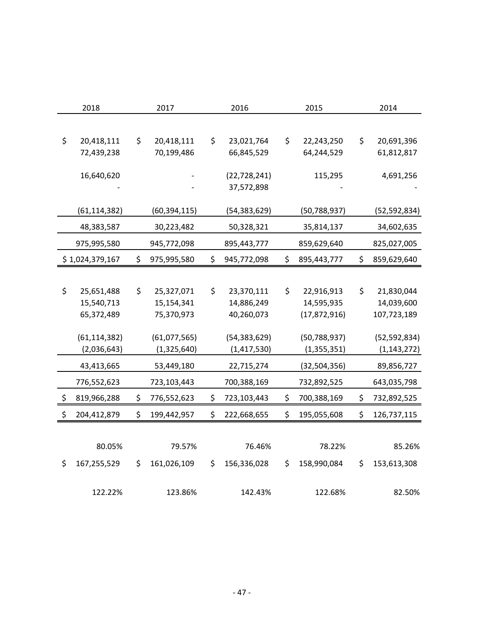| 2018              | 2017              | 2016                         | 2015              | 2014 |                |
|-------------------|-------------------|------------------------------|-------------------|------|----------------|
|                   |                   |                              |                   |      |                |
| \$<br>20,418,111  | \$<br>20,418,111  | \$<br>23,021,764             | \$<br>22,243,250  | \$   | 20,691,396     |
| 72,439,238        | 70,199,486        | 66,845,529                   | 64,244,529        |      | 61,812,817     |
|                   |                   |                              |                   |      |                |
| 16,640,620        |                   | (22, 728, 241)<br>37,572,898 | 115,295           |      | 4,691,256      |
|                   |                   |                              |                   |      |                |
| (61, 114, 382)    | (60, 394, 115)    | (54,383,629)                 | (50, 788, 937)    |      | (52,592,834)   |
| 48,383,587        | 30,223,482        | 50,328,321                   | 35,814,137        |      | 34,602,635     |
| 975,995,580       | 945,772,098       | 895,443,777                  | 859,629,640       |      | 825,027,005    |
| \$1,024,379,167   | \$<br>975,995,580 | \$<br>945,772,098            | \$<br>895,443,777 | \$   | 859,629,640    |
|                   |                   |                              |                   |      |                |
| \$<br>25,651,488  | \$<br>25,327,071  | \$<br>23,370,111             | \$<br>22,916,913  | \$   | 21,830,044     |
| 15,540,713        | 15,154,341        | 14,886,249                   | 14,595,935        |      | 14,039,600     |
| 65,372,489        | 75,370,973        | 40,260,073                   | (17, 872, 916)    |      | 107,723,189    |
|                   |                   |                              |                   |      |                |
| (61, 114, 382)    | (61,077,565)      | (54, 383, 629)               | (50, 788, 937)    |      | (52, 592, 834) |
| (2,036,643)       | (1,325,640)       | (1, 417, 530)                | (1, 355, 351)     |      | (1, 143, 272)  |
| 43,413,665        | 53,449,180        | 22,715,274                   | (32,504,356)      |      | 89,856,727     |
| 776,552,623       | 723,103,443       | 700,388,169                  | 732,892,525       |      | 643,035,798    |
| \$<br>819,966,288 | \$<br>776,552,623 | \$<br>723,103,443            | \$<br>700,388,169 | \$   | 732,892,525    |
| \$<br>204,412,879 | \$<br>199,442,957 | \$<br>222,668,655            | \$<br>195,055,608 | \$   | 126,737,115    |
|                   |                   |                              |                   |      |                |
| 80.05%            | 79.57%            | 76.46%                       | 78.22%            |      | 85.26%         |
| \$<br>167,255,529 | \$<br>161,026,109 | \$<br>156,336,028            | \$<br>158,990,084 | \$   | 153,613,308    |
|                   |                   |                              |                   |      |                |
| 122.22%           | 123.86%           | 142.43%                      | 122.68%           |      | 82.50%         |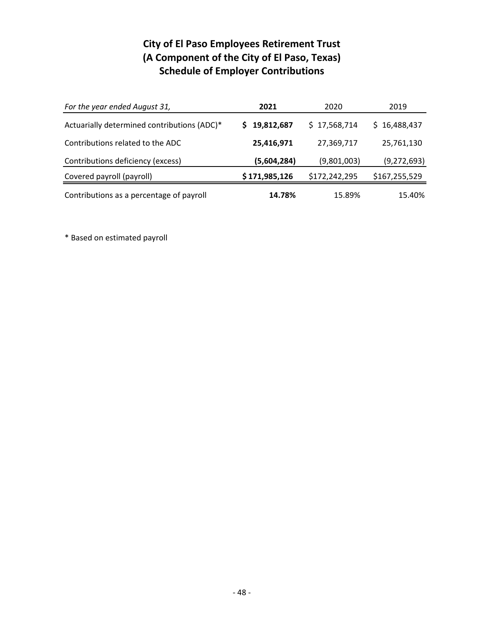# **City of El Paso Employees Retirement Trust (A Component of the City of El Paso, Texas) Schedule of Employer Contributions**

| For the year ended August 31,               | 2021             | 2020          | 2019          |
|---------------------------------------------|------------------|---------------|---------------|
| Actuarially determined contributions (ADC)* | 19,812,687<br>S. | \$17,568,714  | \$16,488,437  |
| Contributions related to the ADC            | 25,416,971       | 27,369,717    | 25,761,130    |
| Contributions deficiency (excess)           | (5,604,284)      | (9,801,003)   | (9, 272, 693) |
| Covered payroll (payroll)                   | \$171,985,126    | \$172,242,295 | \$167,255,529 |
| Contributions as a percentage of payroll    | 14.78%           | 15.89%        | 15.40%        |

\* Based on estimated payroll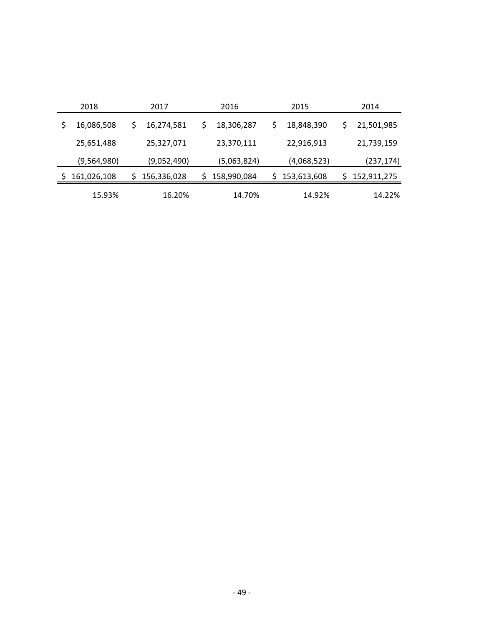| 2018        | 2017        | 2016          | 2015          | 2014        |
|-------------|-------------|---------------|---------------|-------------|
| 16,086,508  | 16,274,581  | 18,306,287    | 18,848,390    | 21,501,985  |
| 25,651,488  | 25,327,071  | 23,370,111    | 22,916,913    | 21,739,159  |
| (9,564,980) | (9,052,490) | (5,063,824)   | (4,068,523)   | (237, 174)  |
| 161,026,108 | 156,336,028 | \$158,990,084 | \$153,613,608 | 152,911,275 |
| 15.93%      | 16.20%      | 14.70%        | 14.92%        | 14.22%      |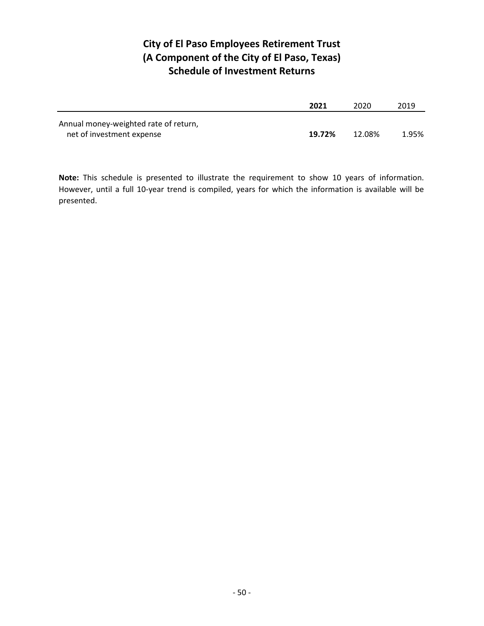## **City of El Paso Employees Retirement Trust (A Component of the City of El Paso, Texas) Schedule of Investment Returns**

|                                       | 2021   | 2020   | 2019  |
|---------------------------------------|--------|--------|-------|
| Annual money-weighted rate of return, |        |        |       |
| net of investment expense             | 19.72% | 12.08% | 1.95% |

**Note:** This schedule is presented to illustrate the requirement to show 10 years of information. However, until a full 10‐year trend is compiled, years for which the information is available will be presented.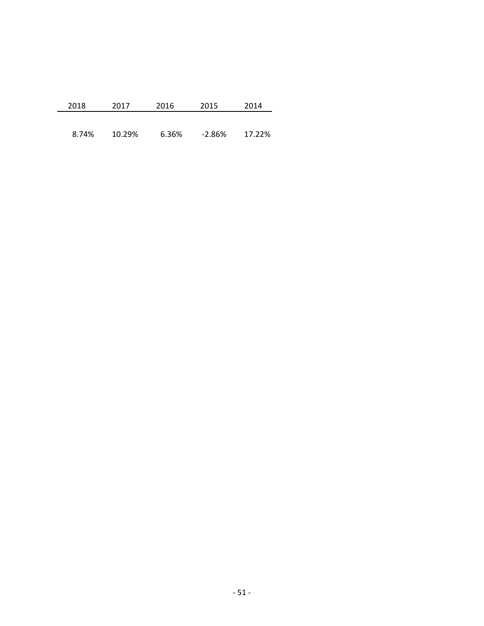| 2018  | 2017   | 2016  | 2015      | 2014   |
|-------|--------|-------|-----------|--------|
|       |        |       |           |        |
| 8.74% | 10.29% | 6.36% | $-2.86\%$ | 17.22% |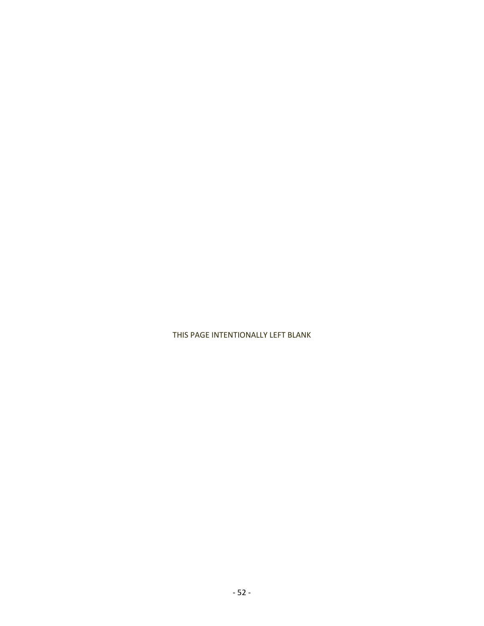THIS PAGE INTENTIONALLY LEFT BLANK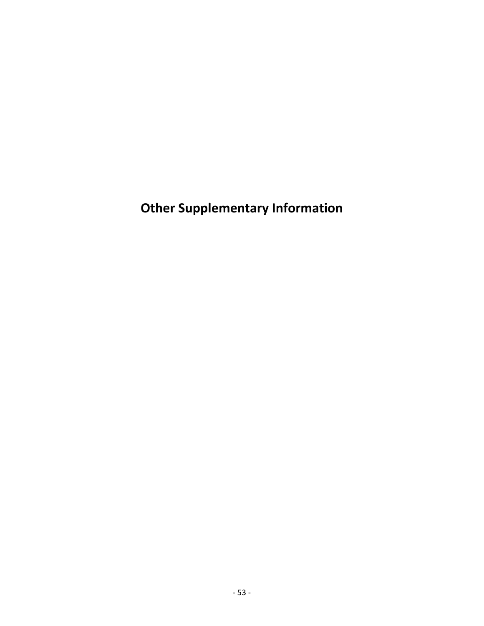**Other Supplementary Information**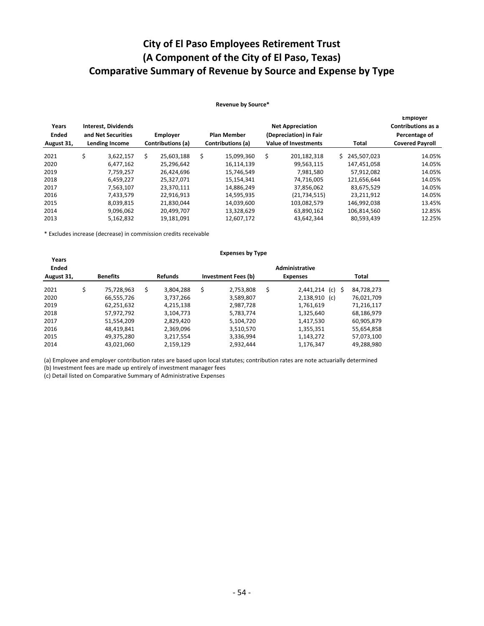## **City of El Paso Employees Retirement Trust (A Component of the City of El Paso, Texas) Comparative Summary of Revenue by Source and Expense by Type**

#### **Revenue by Source\***

| Years<br><b>Ended</b><br>August 31, |   | Interest, Dividends<br>and Net Securities<br>Lending Income | <b>Employer</b><br>Contributions (a) |            |   | <b>Plan Member</b><br>Contributions (a) | <b>Net Appreciation</b><br>(Depreciation) in Fair<br><b>Value of Investments</b> |                | Total         | Employer<br>Contributions as a<br>Percentage of<br><b>Covered Payroll</b> |
|-------------------------------------|---|-------------------------------------------------------------|--------------------------------------|------------|---|-----------------------------------------|----------------------------------------------------------------------------------|----------------|---------------|---------------------------------------------------------------------------|
| 2021                                | Ś | 3,622,157                                                   | S                                    | 25,603,188 | Ś | 15,099,360                              | Ŝ.                                                                               | 201,182,318    | \$245,507,023 | 14.05%                                                                    |
| 2020                                |   | 6.477.162                                                   |                                      | 25,296,642 |   | 16.114.139                              |                                                                                  | 99,563,115     | 147.451.058   | 14.05%                                                                    |
| 2019                                |   | 7.759.257                                                   |                                      | 26.424.696 |   | 15.746.549                              |                                                                                  | 7,981,580      | 57.912.082    | 14.05%                                                                    |
| 2018                                |   | 6,459,227                                                   |                                      | 25,327,071 |   | 15,154,341                              |                                                                                  | 74,716,005     | 121,656,644   | 14.05%                                                                    |
| 2017                                |   | 7.563.107                                                   |                                      | 23.370.111 |   | 14.886.249                              |                                                                                  | 37,856,062     | 83,675,529    | 14.05%                                                                    |
| 2016                                |   | 7,433,579                                                   |                                      | 22,916,913 |   | 14,595,935                              |                                                                                  | (21, 734, 515) | 23,211,912    | 14.05%                                                                    |
| 2015                                |   | 8,039,815                                                   |                                      | 21.830.044 |   | 14.039.600                              |                                                                                  | 103.082.579    | 146.992.038   | 13.45%                                                                    |
| 2014                                |   | 9,096,062                                                   |                                      | 20,499,707 |   | 13,328,629                              |                                                                                  | 63,890,162     | 106,814,560   | 12.85%                                                                    |
| 2013                                |   | 5,162,832                                                   |                                      | 19,181,091 |   | 12,607,172                              |                                                                                  | 43.642.344     | 80,593,439    | 12.25%                                                                    |

\* Excludes increase (decrease) in commission credits receivable

**Years**

#### **Expenses by Type**

| <b>Ended</b> |                 |            | Administrative |                |    |                     |    |                      |            |  |  |
|--------------|-----------------|------------|----------------|----------------|----|---------------------|----|----------------------|------------|--|--|
| August 31,   | <b>Benefits</b> |            |                | <b>Refunds</b> |    | Investment Fees (b) |    | <b>Expenses</b>      | Total      |  |  |
| 2021         |                 | 75,728,963 | \$             | 3,804,288      | \$ | 2,753,808           | \$ | $2,441,214$ (c)<br>S | 84,728,273 |  |  |
| 2020         |                 | 66,555,726 |                | 3,737,266      |    | 3,589,807           |    | $2,138,910$ (c)      | 76,021,709 |  |  |
| 2019         |                 | 62,251,632 |                | 4,215,138      |    | 2,987,728           |    | 1,761,619            | 71,216,117 |  |  |
| 2018         |                 | 57,972,792 |                | 3,104,773      |    | 5,783,774           |    | 1,325,640            | 68,186,979 |  |  |
| 2017         |                 | 51,554,209 |                | 2,829,420      |    | 5,104,720           |    | 1,417,530            | 60,905,879 |  |  |
| 2016         |                 | 48,419,841 |                | 2,369,096      |    | 3,510,570           |    | 1,355,351            | 55,654,858 |  |  |
| 2015         |                 | 49,375,280 |                | 3,217,554      |    | 3,336,994           |    | 1,143,272            | 57,073,100 |  |  |
| 2014         |                 | 43,021,060 |                | 2,159,129      |    | 2,932,444           |    | 1,176,347            | 49,288,980 |  |  |

(a) Employee and employer contribution rates are based upon local statutes; contribution rates are note actuarially determined

(b) Investment fees are made up entirely of investment manager fees

(c) Detail listed on Comparative Summary of Administrative Expenses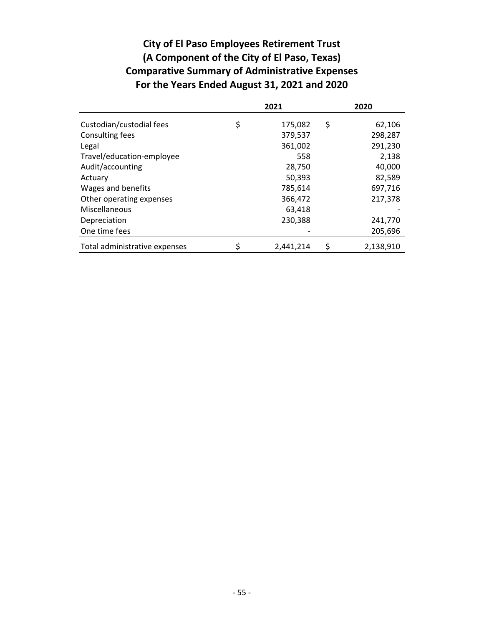# **City of El Paso Employees Retirement Trust (A Component of the City of El Paso, Texas) Comparative Summary of Administrative Expenses For the Years Ended August 31, 2021 and 2020**

|                               | 2021            | 2020 |           |  |
|-------------------------------|-----------------|------|-----------|--|
| Custodian/custodial fees      | \$<br>175,082   | \$   | 62,106    |  |
| Consulting fees               | 379,537         |      | 298,287   |  |
| Legal                         | 361,002         |      | 291,230   |  |
| Travel/education-employee     | 558             |      | 2,138     |  |
| Audit/accounting              | 28,750          |      | 40,000    |  |
| Actuary                       | 50,393          |      | 82,589    |  |
| Wages and benefits            | 785,614         |      | 697,716   |  |
| Other operating expenses      | 366,472         |      | 217,378   |  |
| Miscellaneous                 | 63,418          |      |           |  |
| Depreciation                  | 230,388         |      | 241,770   |  |
| One time fees                 |                 |      | 205,696   |  |
| Total administrative expenses | \$<br>2,441,214 | \$   | 2,138,910 |  |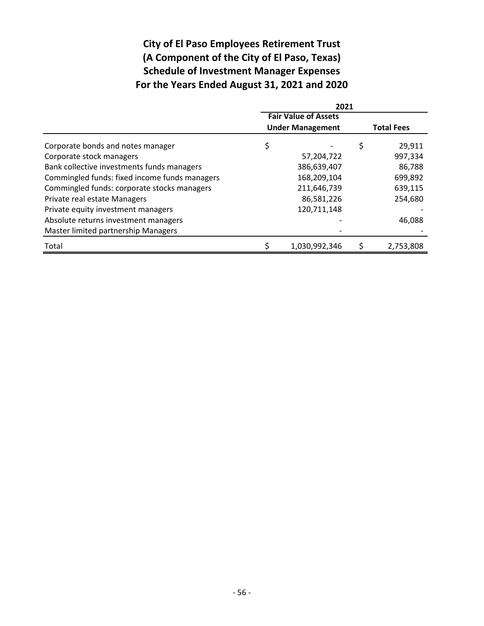# **City of El Paso Employees Retirement Trust (A Component of the City of El Paso, Texas) Schedule of Investment Manager Expenses For the Years Ended August 31, 2021 and 2020**

|                                               | 2021 |                             |    |                   |  |
|-----------------------------------------------|------|-----------------------------|----|-------------------|--|
|                                               |      | <b>Fair Value of Assets</b> |    |                   |  |
|                                               |      | <b>Under Management</b>     |    | <b>Total Fees</b> |  |
| Corporate bonds and notes manager             | \$   |                             | \$ | 29,911            |  |
| Corporate stock managers                      |      | 57,204,722                  |    | 997,334           |  |
| Bank collective investments funds managers    |      | 386,639,407                 |    | 86,788            |  |
| Commingled funds: fixed income funds managers |      | 168,209,104                 |    | 699,892           |  |
| Commingled funds: corporate stocks managers   |      | 211,646,739                 |    | 639,115           |  |
| Private real estate Managers                  |      | 86,581,226                  |    | 254,680           |  |
| Private equity investment managers            |      | 120,711,148                 |    |                   |  |
| Absolute returns investment managers          |      |                             |    | 46,088            |  |
| Master limited partnership Managers           |      |                             |    |                   |  |
| Total                                         |      | 1,030,992,346               |    | 2,753,808         |  |